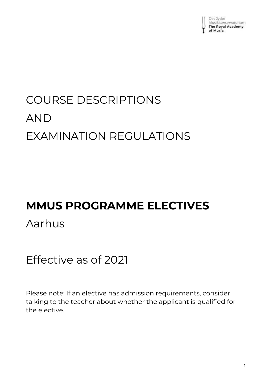

# COURSE DESCRIPTIONS AND EXAMINATION REGULATIONS

# **MMUS PROGRAMME ELECTIVES**

# Aarhus

# Effective as of 2021

Please note: If an elective has admission requirements, consider talking to the teacher about whether the applicant is qualified for the elective.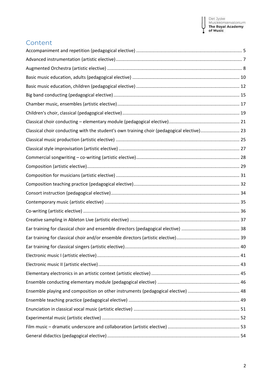Ŧ

## Content

| Classical choir conducting with the student's own training choir (pedagogical elective) 23 |  |
|--------------------------------------------------------------------------------------------|--|
|                                                                                            |  |
|                                                                                            |  |
|                                                                                            |  |
|                                                                                            |  |
|                                                                                            |  |
|                                                                                            |  |
|                                                                                            |  |
|                                                                                            |  |
|                                                                                            |  |
|                                                                                            |  |
|                                                                                            |  |
|                                                                                            |  |
|                                                                                            |  |
|                                                                                            |  |
|                                                                                            |  |
|                                                                                            |  |
|                                                                                            |  |
|                                                                                            |  |
|                                                                                            |  |
|                                                                                            |  |
|                                                                                            |  |
|                                                                                            |  |
|                                                                                            |  |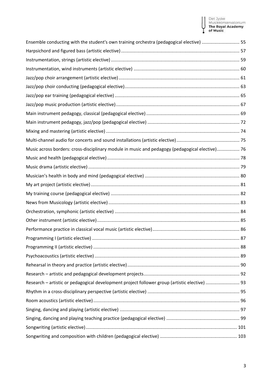# Det Jyske<br>Musikkonservatorium<br>**The Royal Academy**<br>**of Music** ĭ

I

| Ensemble conducting with the student's own training orchestra (pedagogical elective)  55        |  |
|-------------------------------------------------------------------------------------------------|--|
|                                                                                                 |  |
|                                                                                                 |  |
|                                                                                                 |  |
|                                                                                                 |  |
|                                                                                                 |  |
|                                                                                                 |  |
|                                                                                                 |  |
|                                                                                                 |  |
|                                                                                                 |  |
|                                                                                                 |  |
|                                                                                                 |  |
| Music across borders: cross-disciplinary module in music and pedagogy (pedagogical elective) 76 |  |
|                                                                                                 |  |
|                                                                                                 |  |
|                                                                                                 |  |
|                                                                                                 |  |
|                                                                                                 |  |
|                                                                                                 |  |
|                                                                                                 |  |
|                                                                                                 |  |
|                                                                                                 |  |
|                                                                                                 |  |
|                                                                                                 |  |
|                                                                                                 |  |
|                                                                                                 |  |
|                                                                                                 |  |
| Research - artistic or pedagogical development project follower group (artistic elective)  93   |  |
|                                                                                                 |  |
|                                                                                                 |  |
|                                                                                                 |  |
|                                                                                                 |  |
|                                                                                                 |  |
|                                                                                                 |  |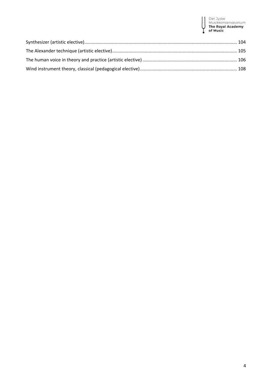# Det Jyske<br>Musikkonservatorium<br>**The Royal Academy**<br>**of Music** Y

I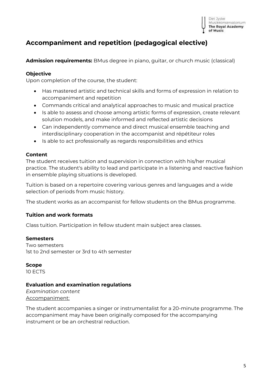

# <span id="page-4-0"></span>**Accompaniment and repetition (pedagogical elective)**

**Admission requirements:** BMus degree in piano, guitar, or church music (classical)

## **Objective**

Upon completion of the course, the student:

- Has mastered artistic and technical skills and forms of expression in relation to accompaniment and repetition
- Commands critical and analytical approaches to music and musical practice
- Is able to assess and choose among artistic forms of expression, create relevant solution models, and make informed and reflected artistic decisions
- Can independently commence and direct musical ensemble teaching and interdisciplinary cooperation in the accompanist and répétiteur roles
- Is able to act professionally as regards responsibilities and ethics

## **Content**

The student receives tuition and supervision in connection with his/her musical practice. The student's ability to lead and participate in a listening and reactive fashion in ensemble playing situations is developed.

Tuition is based on a repertoire covering various genres and languages and a wide selection of periods from music history.

The student works as an accompanist for fellow students on the BMus programme.

## **Tuition and work formats**

Class tuition. Participation in fellow student main subject area classes.

## **Semesters**

Two semesters 1st to 2nd semester or 3rd to 4th semester

**Scope** 10 ECTS

## **Evaluation and examination regulations**

*Examination content* Accompaniment:

The student accompanies a singer or instrumentalist for a 20-minute programme. The accompaniment may have been originally composed for the accompanying instrument or be an orchestral reduction.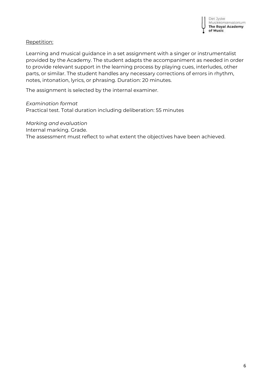## Repetition:

Learning and musical guidance in a set assignment with a singer or instrumentalist provided by the Academy. The student adapts the accompaniment as needed in order to provide relevant support in the learning process by playing cues, interludes, other parts, or similar. The student handles any necessary corrections of errors in rhythm, notes, intonation, lyrics, or phrasing. Duration: 20 minutes.

The assignment is selected by the internal examiner.

*Examination format* Practical test. Total duration including deliberation: 55 minutes

*Marking and evaluation* Internal marking. Grade. The assessment must reflect to what extent the objectives have been achieved.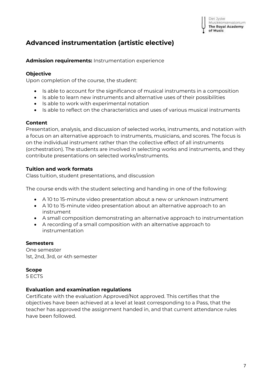# <span id="page-6-0"></span>**Advanced instrumentation (artistic elective)**

**Admission requirements:** Instrumentation experience

## **Objective**

Upon completion of the course, the student:

- Is able to account for the significance of musical instruments in a composition
- Is able to learn new instruments and alternative uses of their possibilities
- Is able to work with experimental notation
- Is able to reflect on the characteristics and uses of various musical instruments

## **Content**

Presentation, analysis, and discussion of selected works, instruments, and notation with a focus on an alternative approach to instruments, musicians, and scores. The focus is on the individual instrument rather than the collective effect of all instruments (orchestration). The students are involved in selecting works and instruments, and they contribute presentations on selected works/instruments.

## **Tuition and work formats**

Class tuition, student presentations, and discussion

The course ends with the student selecting and handing in one of the following:

- A 10 to 15-minute video presentation about a new or unknown instrument
- A 10 to 15-minute video presentation about an alternative approach to an instrument
- A small composition demonstrating an alternative approach to instrumentation
- A recording of a small composition with an alternative approach to instrumentation

## **Semesters**

One semester 1st, 2nd, 3rd, or 4th semester

## **Scope**

5 ECTS

## **Evaluation and examination regulations**

Certificate with the evaluation Approved/Not approved. This certifies that the objectives have been achieved at a level at least corresponding to a Pass, that the teacher has approved the assignment handed in, and that current attendance rules have been followed.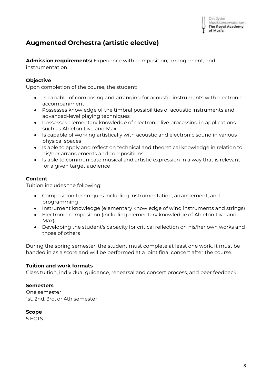# <span id="page-7-0"></span>**Augmented Orchestra (artistic elective)**

**Admission requirements:** Experience with composition, arrangement, and instrumentation

## **Objective**

Upon completion of the course, the student:

- Is capable of composing and arranging for acoustic instruments with electronic accompaniment
- Possesses knowledge of the timbral possibilities of acoustic instruments and advanced-level playing techniques
- Possesses elementary knowledge of electronic live processing in applications such as Ableton Live and Max
- Is capable of working artistically with acoustic and electronic sound in various physical spaces
- Is able to apply and reflect on technical and theoretical knowledge in relation to his/her arrangements and compositions
- Is able to communicate musical and artistic expression in a way that is relevant for a given target audience

## **Content**

Tuition includes the following:

- Composition techniques including instrumentation, arrangement, and programming
- Instrument knowledge (elementary knowledge of wind instruments and strings)
- Electronic composition (including elementary knowledge of Ableton Live and Max)
- Developing the student's capacity for critical reflection on his/her own works and those of others

During the spring semester, the student must complete at least one work. It must be handed in as a score and will be performed at a joint final concert after the course.

## **Tuition and work formats**

Class tuition, individual guidance, rehearsal and concert process, and peer feedback

## **Semesters**

One semester 1st, 2nd, 3rd, or 4th semester

## **Scope**

5 ECTS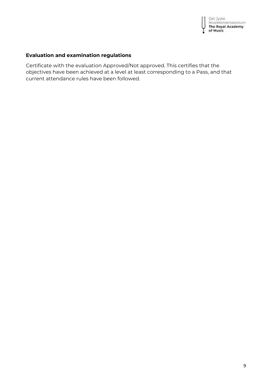

# **Evaluation and examination regulations**

Certificate with the evaluation Approved/Not approved. This certifies that the objectives have been achieved at a level at least corresponding to a Pass, and that current attendance rules have been followed.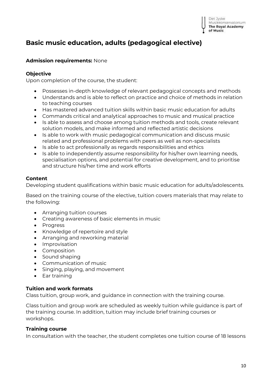#### Det Jyske Musikkonservatorium **The Royal Academy** of Music

# <span id="page-9-0"></span>**Basic music education, adults (pedagogical elective)**

## **Admission requirements:** None

## **Objective**

Upon completion of the course, the student:

- Possesses in-depth knowledge of relevant pedagogical concepts and methods
- Understands and is able to reflect on practice and choice of methods in relation to teaching courses
- Has mastered advanced tuition skills within basic music education for adults
- Commands critical and analytical approaches to music and musical practice
- Is able to assess and choose among tuition methods and tools, create relevant solution models, and make informed and reflected artistic decisions
- Is able to work with music pedagogical communication and discuss music related and professional problems with peers as well as non-specialists
- Is able to act professionally as regards responsibilities and ethics
- Is able to independently assume responsibility for his/her own learning needs, specialisation options, and potential for creative development, and to prioritise and structure his/her time and work efforts

## **Content**

Developing student qualifications within basic music education for adults/adolescents.

Based on the training course of the elective, tuition covers materials that may relate to the following:

- Arranging tuition courses
- Creating awareness of basic elements in music
- Progress
- Knowledge of repertoire and style
- Arranging and reworking material
- Improvisation
- Composition
- Sound shaping
- Communication of music
- Singing, playing, and movement
- Ear training

## **Tuition and work formats**

Class tuition, group work, and guidance in connection with the training course.

Class tuition and group work are scheduled as weekly tuition while guidance is part of the training course. In addition, tuition may include brief training courses or workshops.

## **Training course**

In consultation with the teacher, the student completes one tuition course of 18 lessons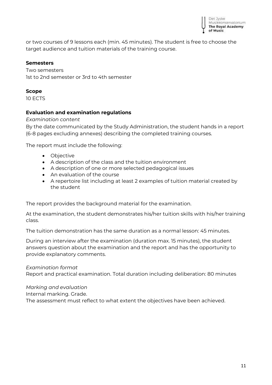

or two courses of 9 lessons each (min. 45 minutes). The student is free to choose the target audience and tuition materials of the training course.

## **Semesters**

Two semesters 1st to 2nd semester or 3rd to 4th semester

## **Scope**

10 ECTS

## **Evaluation and examination regulations**

*Examination content*

By the date communicated by the Study Administration, the student hands in a report (6-8 pages excluding annexes) describing the completed training courses.

The report must include the following:

- Objective
- A description of the class and the tuition environment
- A description of one or more selected pedagogical issues
- An evaluation of the course
- A repertoire list including at least 2 examples of tuition material created by the student

The report provides the background material for the examination.

At the examination, the student demonstrates his/her tuition skills with his/her training class.

The tuition demonstration has the same duration as a normal lesson: 45 minutes.

During an interview after the examination (duration max. 15 minutes), the student answers question about the examination and the report and has the opportunity to provide explanatory comments.

## *Examination format*

Report and practical examination. Total duration including deliberation: 80 minutes

## *Marking and evaluation*

Internal marking. Grade.

The assessment must reflect to what extent the objectives have been achieved.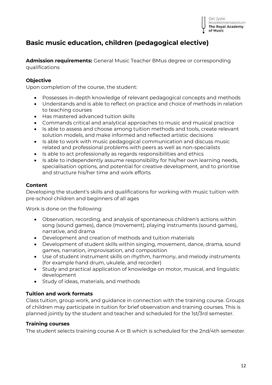

# <span id="page-11-0"></span>**Basic music education, children (pedagogical elective)**

**Admission requirements:** General Music Teacher BMus degree or corresponding qualifications

## **Objective**

Upon completion of the course, the student:

- Possesses in-depth knowledge of relevant pedagogical concepts and methods
- Understands and is able to reflect on practice and choice of methods in relation to teaching courses
- Has mastered advanced tuition skills
- Commands critical and analytical approaches to music and musical practice
- Is able to assess and choose among tuition methods and tools, create relevant solution models, and make informed and reflected artistic decisions
- Is able to work with music pedagogical communication and discuss music related and professional problems with peers as well as non-specialists
- Is able to act professionally as regards responsibilities and ethics
- Is able to independently assume responsibility for his/her own learning needs, specialisation options, and potential for creative development, and to prioritise and structure his/her time and work efforts

## **Content**

Developing the student's skills and qualifications for working with music tuition with pre-school children and beginners of all ages

Work is done on the following:

- Observation, recording, and analysis of spontaneous children's actions within song (sound games), dance (movement), playing instruments (sound games), narrative, and drama
- Development and creation of methods and tuition materials
- Development of student skills within singing, movement, dance, drama, sound games, narration, improvisation, and composition
- Use of student instrument skills on rhythm, harmony, and melody instruments (for example hand drum, ukulele, and recorder)
- Study and practical application of knowledge on motor, musical, and linguistic development
- Study of ideas, materials, and methods

## **Tuition and work formats**

Class tuition, group work, and guidance in connection with the training course. Groups of children may participate in tuition for brief observation and training courses. This is planned jointly by the student and teacher and scheduled for the 1st/3rd semester.

## **Training courses**

The student selects training course A or B which is scheduled for the 2nd/4th semester.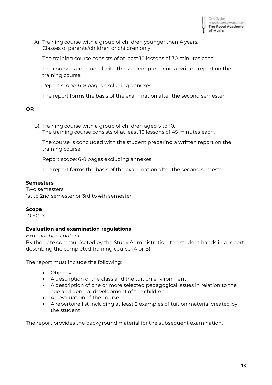

A) Training course with a group of children younger than 4 years. Classes of parents/children or children only.

The training course consists of at least 10 lessons of 30 minutes each.

The course is concluded with the student preparing a written report on the training course.

Report scope: 6-8 pages excluding annexes.

The report forms the basis of the examination after the second semester.

#### **OR**

B) Training course with a group of children aged 5 to 10. The training course consists of at least 10 lessons of 45 minutes each.

The course is concluded with the student preparing a written report on the training course.

Report scope: 6-8 pages excluding annexes.

The report forms the basis of the examination after the second semester.

## **Semesters**

Two semesters 1st to 2nd semester or 3rd to 4th semester

## **Scope**

10 ECTS

## **Evaluation and examination regulations**

*Examination content*

By the date communicated by the Study Administration, the student hands in a report describing the completed training course (A or B).

The report must include the following:

- Objective
- A description of the class and the tuition environment
- A description of one or more selected pedagogical issues in relation to the age and general development of the children
- An evaluation of the course
- A repertoire list including at least 2 examples of tuition material created by the student

The report provides the background material for the subsequent examination.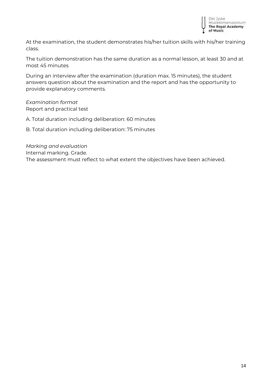

At the examination, the student demonstrates his/her tuition skills with his/her training class.

The tuition demonstration has the same duration as a normal lesson, at least 30 and at most 45 minutes

During an interview after the examination (duration max. 15 minutes), the student answers question about the examination and the report and has the opportunity to provide explanatory comments.

*Examination format* Report and practical test

A. Total duration including deliberation: 60 minutes

B. Total duration including deliberation: 75 minutes

*Marking and evaluation* Internal marking. Grade. The assessment must reflect to what extent the objectives have been achieved.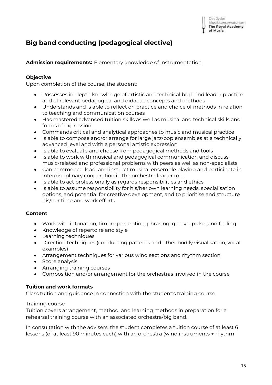# <span id="page-14-0"></span>**Big band conducting (pedagogical elective)**

**Admission requirements:** Elementary knowledge of instrumentation

## **Objective**

Upon completion of the course, the student:

- Possesses in-depth knowledge of artistic and technical big band leader practice and of relevant pedagogical and didactic concepts and methods
- Understands and is able to reflect on practice and choice of methods in relation to teaching and communication courses
- Has mastered advanced tuition skills as well as musical and technical skills and forms of expression
- Commands critical and analytical approaches to music and musical practice
- Is able to compose and/or arrange for large jazz/pop ensembles at a technically advanced level and with a personal artistic expression
- Is able to evaluate and choose from pedagogical methods and tools
- Is able to work with musical and pedagogical communication and discuss music-related and professional problems with peers as well as non-specialists
- Can commence, lead, and instruct musical ensemble playing and participate in interdisciplinary cooperation in the orchestra leader role
- Is able to act professionally as regards responsibilities and ethics
- Is able to assume responsibility for his/her own learning needs, specialisation options, and potential for creative development, and to prioritise and structure his/her time and work efforts

## **Content**

- Work with intonation, timbre perception, phrasing, groove, pulse, and feeling
- Knowledge of repertoire and style
- Learning techniques
- Direction techniques (conducting patterns and other bodily visualisation, vocal examples)
- Arrangement techniques for various wind sections and rhythm section
- Score analysis
- Arranging training courses
- Composition and/or arrangement for the orchestras involved in the course

## **Tuition and work formats**

Class tuition and guidance in connection with the student's training course.

## Training course

Tuition covers arrangement, method, and learning methods in preparation for a rehearsal training course with an associated orchestra/big band.

In consultation with the advisers, the student completes a tuition course of at least 6 lessons (of at least 90 minutes each) with an orchestra (wind instruments + rhythm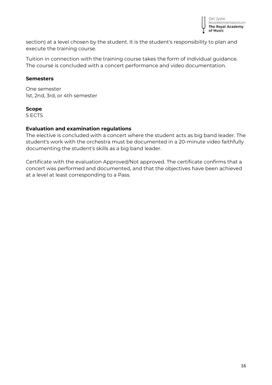

section) at a level chosen by the student. It is the student's responsibility to plan and execute the training course.

Tuition in connection with the training course takes the form of individual guidance. The course is concluded with a concert performance and video documentation.

## **Semesters**

One semester 1st, 2nd, 3rd, or 4th semester

## **Scope**

5 ECTS

## **Evaluation and examination regulations**

The elective is concluded with a concert where the student acts as big band leader. The student's work with the orchestra must be documented in a 20-minute video faithfully documenting the student's skills as a big band leader.

Certificate with the evaluation Approved/Not approved. The certificate confirms that a concert was performed and documented, and that the objectives have been achieved at a level at least corresponding to a Pass.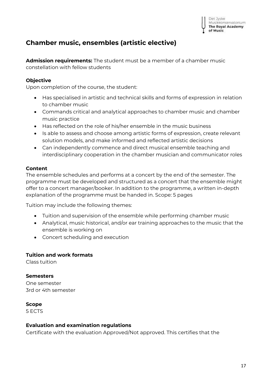

## <span id="page-16-0"></span>**Chamber music, ensembles (artistic elective)**

**Admission requirements:** The student must be a member of a chamber music constellation with fellow students

## **Objective**

Upon completion of the course, the student:

- Has specialised in artistic and technical skills and forms of expression in relation to chamber music
- Commands critical and analytical approaches to chamber music and chamber music practice
- Has reflected on the role of his/her ensemble in the music business
- Is able to assess and choose among artistic forms of expression, create relevant solution models, and make informed and reflected artistic decisions
- Can independently commence and direct musical ensemble teaching and interdisciplinary cooperation in the chamber musician and communicator roles

## **Content**

The ensemble schedules and performs at a concert by the end of the semester. The programme must be developed and structured as a concert that the ensemble might offer to a concert manager/booker. In addition to the programme, a written in-depth explanation of the programme must be handed in. Scope: 5 pages

Tuition may include the following themes:

- Tuition and supervision of the ensemble while performing chamber music
- Analytical, music historical, and/or ear training approaches to the music that the ensemble is working on
- Concert scheduling and execution

## **Tuition and work formats**

Class tuition

**Semesters** One semester 3rd or 4th semester

## **Scope**

5 ECTS

## **Evaluation and examination regulations**

Certificate with the evaluation Approved/Not approved. This certifies that the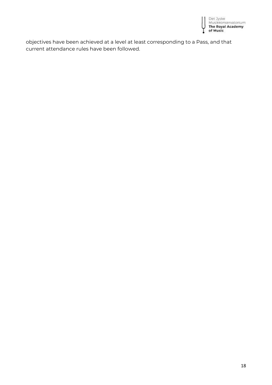

objectives have been achieved at a level at least corresponding to a Pass, and that current attendance rules have been followed.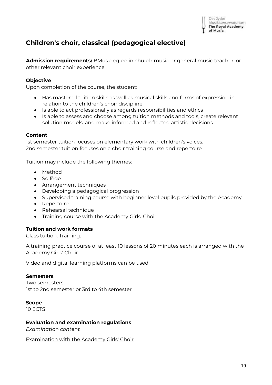

# <span id="page-18-0"></span>**Children's choir, classical (pedagogical elective)**

**Admission requirements:** BMus degree in church music or general music teacher, or other relevant choir experience

## **Objective**

Upon completion of the course, the student:

- Has mastered tuition skills as well as musical skills and forms of expression in relation to the children's choir discipline
- Is able to act professionally as regards responsibilities and ethics
- Is able to assess and choose among tuition methods and tools, create relevant solution models, and make informed and reflected artistic decisions

## **Content**

1st semester tuition focuses on elementary work with children's voices. 2nd semester tuition focuses on a choir training course and repertoire.

Tuition may include the following themes:

- Method
- Solfège
- Arrangement techniques
- Developing a pedagogical progression
- Supervised training course with beginner level pupils provided by the Academy
- Repertoire
- Rehearsal technique
- Training course with the Academy Girls' Choir

## **Tuition and work formats**

Class tuition. Training.

A training practice course of at least 10 lessons of 20 minutes each is arranged with the Academy Girls' Choir.

Video and digital learning platforms can be used.

#### **Semesters**

Two semesters 1st to 2nd semester or 3rd to 4th semester

#### **Scope**

10 ECTS

## **Evaluation and examination regulations**

*Examination content*

Examination with the Academy Girls' Choir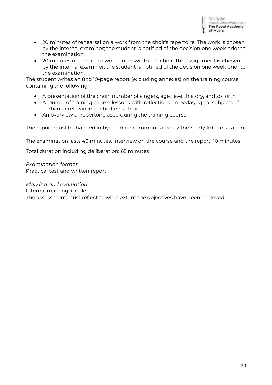

- 20 minutes of rehearsal on a work from the choir's repertoire. The work is chosen by the internal examiner; the student is notified of the decision one week prior to the examination.
- 20 minutes of learning a work unknown to the choir. The assignment is chosen by the internal examiner; the student is notified of the decision one week prior to the examination.

The student writes an 8 to 10-page report (excluding annexes) on the training course containing the following:

- A presentation of the choir: number of singers, age, level, history, and so forth
- A journal of training course lessons with reflections on pedagogical subjects of particular relevance to children's choir
- An overview of repertoire used during the training course

The report must be handed in by the date communicated by the Study Administration.

The examination lasts 40 minutes. Interview on the course and the report: 10 minutes

Total duration including deliberation: 65 minutes

*Examination format*  Practical test and written report

*Marking and evaluation*  Internal marking. Grade. The assessment must reflect to what extent the objectives have been achieved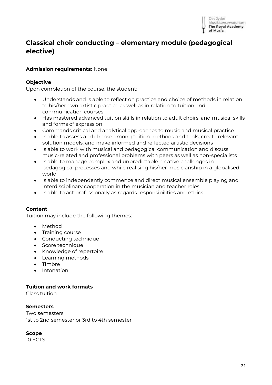# <span id="page-20-0"></span>**Classical choir conducting – elementary module (pedagogical elective)**

## **Admission requirements:** None

## **Objective**

Upon completion of the course, the student:

- Understands and is able to reflect on practice and choice of methods in relation to his/her own artistic practice as well as in relation to tuition and communication courses
- Has mastered advanced tuition skills in relation to adult choirs, and musical skills and forms of expression
- Commands critical and analytical approaches to music and musical practice
- Is able to assess and choose among tuition methods and tools, create relevant solution models, and make informed and reflected artistic decisions
- Is able to work with musical and pedagogical communication and discuss music-related and professional problems with peers as well as non-specialists
- Is able to manage complex and unpredictable creative challenges in pedagogical processes and while realising his/her musicianship in a globalised world
- Is able to independently commence and direct musical ensemble playing and interdisciplinary cooperation in the musician and teacher roles
- Is able to act professionally as regards responsibilities and ethics

## **Content**

Tuition may include the following themes:

- Method
- Training course
- Conducting technique
- Score technique
- Knowledge of repertoire
- Learning methods
- Timbre
- Intonation

## **Tuition and work formats**

Class tuition

## **Semesters**

Two semesters 1st to 2nd semester or 3rd to 4th semester

## **Scope**

10 ECTS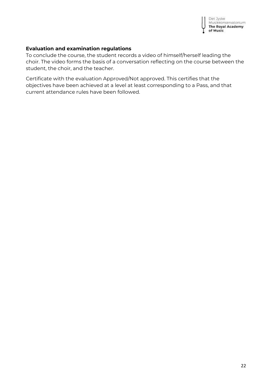

## **Evaluation and examination regulations**

To conclude the course, the student records a video of himself/herself leading the choir. The video forms the basis of a conversation reflecting on the course between the student, the choir, and the teacher.

Certificate with the evaluation Approved/Not approved. This certifies that the objectives have been achieved at a level at least corresponding to a Pass, and that current attendance rules have been followed.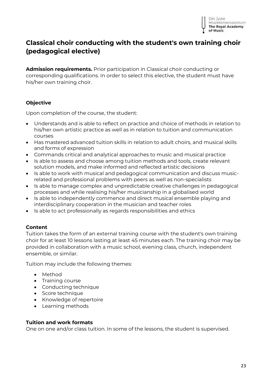

# <span id="page-22-0"></span>**Classical choir conducting with the student's own training choir (pedagogical elective)**

**Admission requirements.** Prior participation in Classical choir conducting or corresponding qualifications. In order to select this elective, the student must have his/her own training choir.

## **Objective**

Upon completion of the course, the student:

- Understands and is able to reflect on practice and choice of methods in relation to his/her own artistic practice as well as in relation to tuition and communication courses
- Has mastered advanced tuition skills in relation to adult choirs, and musical skills and forms of expression
- Commands critical and analytical approaches to music and musical practice
- Is able to assess and choose among tuition methods and tools, create relevant solution models, and make informed and reflected artistic decisions
- Is able to work with musical and pedagogical communication and discuss musicrelated and professional problems with peers as well as non-specialists
- Is able to manage complex and unpredictable creative challenges in pedagogical processes and while realising his/her musicianship in a globalised world
- Is able to independently commence and direct musical ensemble playing and interdisciplinary cooperation in the musician and teacher roles
- Is able to act professionally as regards responsibilities and ethics

## **Content**

Tuition takes the form of an external training course with the student's own training choir for at least 10 lessons lasting at least 45 minutes each. The training choir may be provided in collaboration with a music school, evening class, church, independent ensemble, or similar.

Tuition may include the following themes:

- Method
- Training course
- Conducting technique
- Score technique
- Knowledge of repertoire
- Learning methods

## **Tuition and work formats**

One on one and/or class tuition. In some of the lessons, the student is supervised.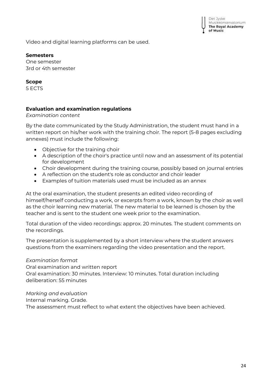Video and digital learning platforms can be used.

## **Semesters**

One semester 3rd or 4th semester

## **Scope**

5 ECTS

## **Evaluation and examination regulations**

*Examination content* 

By the date communicated by the Study Administration, the student must hand in a written report on his/her work with the training choir. The report (5-8 pages excluding annexes) must include the following:

- Objective for the training choir
- A description of the choir's practice until now and an assessment of its potential for development
- Choir development during the training course, possibly based on journal entries
- A reflection on the student's role as conductor and choir leader
- Examples of tuition materials used must be included as an annex

At the oral examination, the student presents an edited video recording of himself/herself conducting a work, or excerpts from a work, known by the choir as well as the choir learning new material. The new material to be learned is chosen by the teacher and is sent to the student one week prior to the examination.

Total duration of the video recordings: approx. 20 minutes. The student comments on the recordings.

The presentation is supplemented by a short interview where the student answers questions from the examiners regarding the video presentation and the report.

## *Examination format*

Oral examination and written report Oral examination: 30 minutes. Interview: 10 minutes. Total duration including deliberation: 55 minutes

*Marking and evaluation*

Internal marking. Grade.

The assessment must reflect to what extent the objectives have been achieved.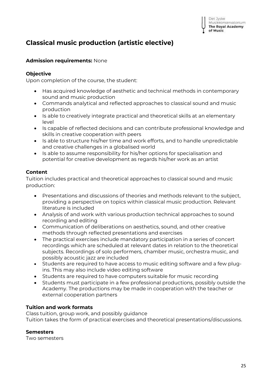# <span id="page-24-0"></span>**Classical music production (artistic elective)**

## **Admission requirements:** None

## **Objective**

Upon completion of the course, the student:

- Has acquired knowledge of aesthetic and technical methods in contemporary sound and music production
- Commands analytical and reflected approaches to classical sound and music production
- Is able to creatively integrate practical and theoretical skills at an elementary level
- Is capable of reflected decisions and can contribute professional knowledge and skills in creative cooperation with peers
- Is able to structure his/her time and work efforts, and to handle unpredictable and creative challenges in a globalised world
- Is able to assume responsibility for his/her options for specialisation and potential for creative development as regards his/her work as an artist

## **Content**

Tuition includes practical and theoretical approaches to classical sound and music production:

- Presentations and discussions of theories and methods relevant to the subject, providing a perspective on topics within classical music production. Relevant literature is included
- Analysis of and work with various production technical approaches to sound recording and editing
- Communication of deliberations on aesthetics, sound, and other creative methods through reflected presentations and exercises
- The practical exercises include mandatory participation in a series of concert recordings which are scheduled at relevant dates in relation to the theoretical subjects. Recordings of solo performers, chamber music, orchestra music, and possibly acoustic jazz are included
- Students are required to have access to music editing software and a few plugins. This may also include video editing software
- Students are required to have computers suitable for music recording
- Students must participate in a few professional productions, possibly outside the Academy. The productions may be made in cooperation with the teacher or external cooperation partners

## **Tuition and work formats**

Class tuition, group work, and possibly guidance Tuition takes the form of practical exercises and theoretical presentations/discussions.

## **Semesters**

Two semesters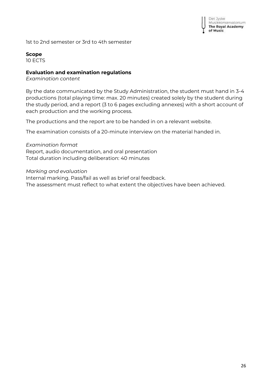

1st to 2nd semester or 3rd to 4th semester

#### **Scope**

10 ECTS

## **Evaluation and examination regulations**

*Examination content*

By the date communicated by the Study Administration, the student must hand in 3-4 productions (total playing time: max. 20 minutes) created solely by the student during the study period, and a report (3 to 6 pages excluding annexes) with a short account of each production and the working process.

The productions and the report are to be handed in on a relevant website.

The examination consists of a 20-minute interview on the material handed in.

*Examination format* Report, audio documentation, and oral presentation Total duration including deliberation: 40 minutes

*Marking and evaluation*

Internal marking. Pass/fail as well as brief oral feedback. The assessment must reflect to what extent the objectives have been achieved.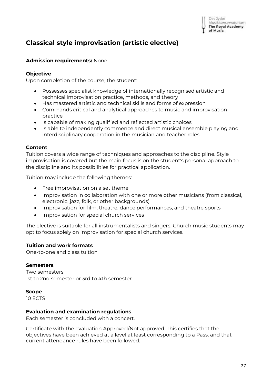# <span id="page-26-0"></span>**Classical style improvisation (artistic elective)**

## **Admission requirements:** None

## **Objective**

Upon completion of the course, the student:

- Possesses specialist knowledge of internationally recognised artistic and technical improvisation practice, methods, and theory
- Has mastered artistic and technical skills and forms of expression
- Commands critical and analytical approaches to music and improvisation practice
- Is capable of making qualified and reflected artistic choices
- Is able to independently commence and direct musical ensemble playing and interdisciplinary cooperation in the musician and teacher roles

## **Content**

Tuition covers a wide range of techniques and approaches to the discipline. Style improvisation is covered but the main focus is on the student's personal approach to the discipline and its possibilities for practical application.

Tuition may include the following themes:

- Free improvisation on a set theme
- Improvisation in collaboration with one or more other musicians (from classical, electronic, jazz, folk, or other backgrounds)
- Improvisation for film, theatre, dance performances, and theatre sports
- Improvisation for special church services

The elective is suitable for all instrumentalists and singers. Church music students may opt to focus solely on improvisation for special church services.

## **Tuition and work formats**

One-to-one and class tuition

## **Semesters**

Two semesters 1st to 2nd semester or 3rd to 4th semester

## **Scope**

10 ECTS

## **Evaluation and examination regulations**

Each semester is concluded with a concert.

Certificate with the evaluation Approved/Not approved. This certifies that the objectives have been achieved at a level at least corresponding to a Pass, and that current attendance rules have been followed.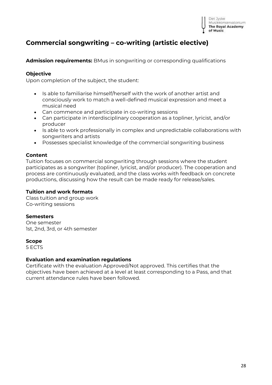

# <span id="page-27-0"></span>**Commercial songwriting – co-writing (artistic elective)**

**Admission requirements:** BMus in songwriting or corresponding qualifications

## **Objective**

Upon completion of the subject, the student:

- Is able to familiarise himself/herself with the work of another artist and consciously work to match a well-defined musical expression and meet a musical need
- Can commence and participate in co-writing sessions
- Can participate in interdisciplinary cooperation as a topliner, lyricist, and/or producer
- Is able to work professionally in complex and unpredictable collaborations with songwriters and artists
- Possesses specialist knowledge of the commercial songwriting business

## **Content**

Tuition focuses on commercial songwriting through sessions where the student participates as a songwriter (topliner, lyricist, and/or producer). The cooperation and process are continuously evaluated, and the class works with feedback on concrete productions, discussing how the result can be made ready for release/sales.

## **Tuition and work formats**

Class tuition and group work Co-writing sessions

## **Semesters**

One semester 1st, 2nd, 3rd, or 4th semester

## **Scope**

5 ECTS

## **Evaluation and examination regulations**

Certificate with the evaluation Approved/Not approved. This certifies that the objectives have been achieved at a level at least corresponding to a Pass, and that current attendance rules have been followed.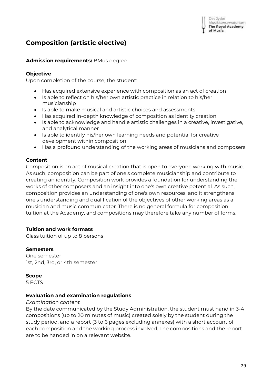# <span id="page-28-0"></span>**Composition (artistic elective)**

## **Admission requirements:** BMus degree

## **Objective**

Upon completion of the course, the student:

- Has acquired extensive experience with composition as an act of creation
- Is able to reflect on his/her own artistic practice in relation to his/her musicianship
- Is able to make musical and artistic choices and assessments
- Has acquired in-depth knowledge of composition as identity creation
- Is able to acknowledge and handle artistic challenges in a creative, investigative, and analytical manner
- Is able to identify his/her own learning needs and potential for creative development within composition
- Has a profound understanding of the working areas of musicians and composers

## **Content**

Composition is an act of musical creation that is open to everyone working with music. As such, composition can be part of one's complete musicianship and contribute to creating an identity. Composition work provides a foundation for understanding the works of other composers and an insight into one's own creative potential. As such, composition provides an understanding of one's own resources, and it strengthens one's understanding and qualification of the objectives of other working areas as a musician and music communicator. There is no general formula for composition tuition at the Academy, and compositions may therefore take any number of forms.

## **Tuition and work formats**

Class tuition of up to 8 persons

## **Semesters**

One semester 1st, 2nd, 3rd, or 4th semester

## **Scope**

5 ECTS

## **Evaluation and examination regulations**

## *Examination content*

By the date communicated by the Study Administration, the student must hand in 3-4 compositions (up to 20 minutes of music) created solely by the student during the study period, and a report (3 to 6 pages excluding annexes) with a short account of each composition and the working process involved. The compositions and the report are to be handed in on a relevant website.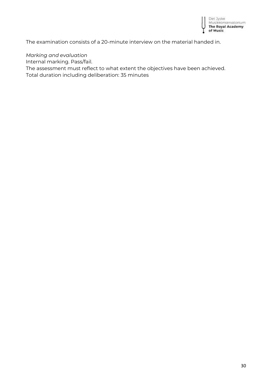

The examination consists of a 20-minute interview on the material handed in.

## *Marking and evaluation*

Internal marking. Pass/fail.

The assessment must reflect to what extent the objectives have been achieved. Total duration including deliberation: 35 minutes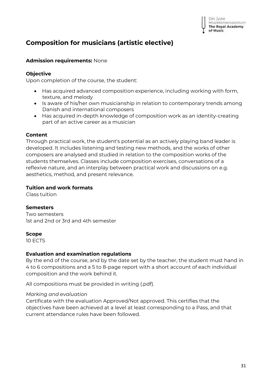# <span id="page-30-0"></span>**Composition for musicians (artistic elective)**

## **Admission requirements:** None

## **Objective**

Upon completion of the course, the student:

- Has acquired advanced composition experience, including working with form, texture, and melody
- Is aware of his/her own musicianship in relation to contemporary trends among Danish and international composers
- Has acquired in-depth knowledge of composition work as an identity-creating part of an active career as a musician

## **Content**

Through practical work, the student's potential as an actively playing band leader is developed. It includes listening and testing new methods, and the works of other composers are analysed and studied in relation to the composition works of the students themselves. Classes include composition exercises, conversations of a reflexive nature, and an interplay between practical work and discussions on e.g. aesthetics, method, and present relevance.

## **Tuition and work formats**

Class tuition

## **Semesters**

Two semesters 1st and 2nd or 3rd and 4th semester

## **Scope**

10 ECTS

## **Evaluation and examination regulations**

By the end of the course, and by the date set by the teacher, the student must hand in 4 to 6 compositions and a 5 to 8-page report with a short account of each individual composition and the work behind it.

All compositions must be provided in writing (.pdf).

## *Marking and evaluation*

Certificate with the evaluation Approved/Not approved. This certifies that the objectives have been achieved at a level at least corresponding to a Pass, and that current attendance rules have been followed.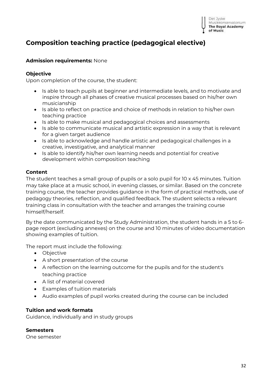

Det Jyske

# <span id="page-31-0"></span>**Composition teaching practice (pedagogical elective)**

## **Admission requirements:** None

## **Objective**

Upon completion of the course, the student:

- Is able to teach pupils at beginner and intermediate levels, and to motivate and inspire through all phases of creative musical processes based on his/her own musicianship
- Is able to reflect on practice and choice of methods in relation to his/her own teaching practice
- Is able to make musical and pedagogical choices and assessments
- Is able to communicate musical and artistic expression in a way that is relevant for a given target audience
- Is able to acknowledge and handle artistic and pedagogical challenges in a creative, investigative, and analytical manner
- Is able to identify his/her own learning needs and potential for creative development within composition teaching

## **Content**

The student teaches a small group of pupils *or* a solo pupil for 10 x 45 minutes. Tuition may take place at a music school, in evening classes, or similar. Based on the concrete training course, the teacher provides guidance in the form of practical methods, use of pedagogy theories, reflection, and qualified feedback. The student selects a relevant training class in consultation with the teacher and arranges the training course himself/herself.

By the date communicated by the Study Administration, the student hands in a 5 to 6 page report (excluding annexes) on the course and 10 minutes of video documentation showing examples of tuition.

The report must include the following:

- Objective
- A short presentation of the course
- A reflection on the learning outcome for the pupils and for the student's teaching practice
- A list of material covered
- Examples of tuition materials
- Audio examples of pupil works created during the course can be included

## **Tuition and work formats**

Guidance, individually and in study groups

## **Semesters**

One semester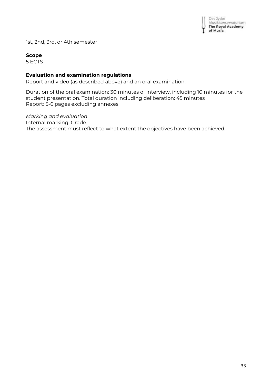

1st, 2nd, 3rd, or 4th semester

## **Scope**

5 ECTS

## **Evaluation and examination regulations**

Report and video (as described above) and an oral examination.

Duration of the oral examination: 30 minutes of interview, including 10 minutes for the student presentation. Total duration including deliberation: 45 minutes Report: 5-6 pages excluding annexes

*Marking and evaluation* Internal marking. Grade. The assessment must reflect to what extent the objectives have been achieved.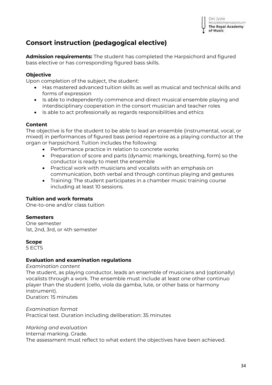

# <span id="page-33-0"></span>**Consort instruction (pedagogical elective)**

**Admission requirements:** The student has completed the Harpsichord and figured bass elective or has corresponding figured bass skills.

## **Objective**

Upon completion of the subject, the student:

- Has mastered advanced tuition skills as well as musical and technical skills and forms of expression
- Is able to independently commence and direct musical ensemble playing and interdisciplinary cooperation in the consort musician and teacher roles
- Is able to act professionally as regards responsibilities and ethics

## **Content**

The objective is for the student to be able to lead an ensemble (instrumental, vocal, or mixed) in performances of figured bass period repertoire as a playing conductor at the organ or harpsichord. Tuition includes the following:

- Performance practice in relation to concrete works
- Preparation of score and parts (dynamic markings, breathing, form) so the conductor is ready to meet the ensemble
- Practical work with musicians and vocalists with an emphasis on communication, both verbal and through continuo playing and gestures
- Training: The student participates in a chamber music training course including at least 10 sessions.

## **Tuition and work formats**

One-to-one and/or class tuition

## **Semesters**

One semester 1st, 2nd, 3rd, or 4th semester

## **Scope**

5 ECTS

## **Evaluation and examination regulations**

*Examination content* The student, as playing conductor, leads an ensemble of musicians and (optionally) vocalists through a work. The ensemble must include at least one other continuo player than the student (cello, viola da gamba, lute, or other bass or harmony instrument). Duration: 15 minutes

*Examination format* Practical test. Duration including deliberation: 35 minutes

*Marking and evaluation*

Internal marking. Grade. The assessment must reflect to what extent the objectives have been achieved.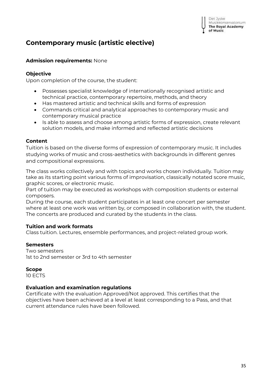# <span id="page-34-0"></span>**Contemporary music (artistic elective)**

## **Admission requirements:** None

## **Objective**

Upon completion of the course, the student:

- Possesses specialist knowledge of internationally recognised artistic and technical practice, contemporary repertoire, methods, and theory
- Has mastered artistic and technical skills and forms of expression
- Commands critical and analytical approaches to contemporary music and contemporary musical practice
- Is able to assess and choose among artistic forms of expression, create relevant solution models, and make informed and reflected artistic decisions

## **Content**

Tuition is based on the diverse forms of expression of contemporary music. It includes studying works of music and cross-aesthetics with backgrounds in different genres and compositional expressions.

The class works collectively and with topics and works chosen individually. Tuition may take as its starting point various forms of improvisation, classically notated score music, graphic scores, or electronic music.

Part of tuition may be executed as workshops with composition students or external composers.

During the course, each student participates in at least one concert per semester where at least one work was written by, or composed in collaboration with, the student. The concerts are produced and curated by the students in the class.

## **Tuition and work formats**

Class tuition. Lectures, ensemble performances, and project-related group work.

## **Semesters**

Two semesters 1st to 2nd semester or 3rd to 4th semester

## **Scope**

10 ECTS

## **Evaluation and examination regulations**

Certificate with the evaluation Approved/Not approved. This certifies that the objectives have been achieved at a level at least corresponding to a Pass, and that current attendance rules have been followed.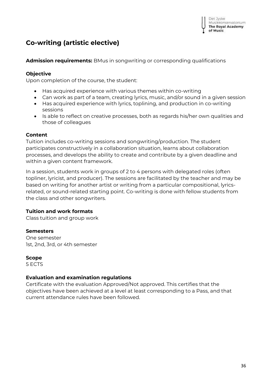# <span id="page-35-0"></span>**Co-writing (artistic elective)**

## **Admission requirements:** BMus in songwriting or corresponding qualifications

## **Objective**

Upon completion of the course, the student:

- Has acquired experience with various themes within co-writing
- Can work as part of a team, creating lyrics, music, and/or sound in a given session
- Has acquired experience with lyrics, toplining, and production in co-writing sessions
- Is able to reflect on creative processes, both as regards his/her own qualities and those of colleagues

## **Content**

Tuition includes co-writing sessions and songwriting/production. The student participates constructively in a collaboration situation, learns about collaboration processes, and develops the ability to create and contribute by a given deadline and within a given content framework.

In a session, students work in groups of 2 to 4 persons with delegated roles (often topliner, lyricist, and producer). The sessions are facilitated by the teacher and may be based on writing for another artist or writing from a particular compositional, lyricsrelated, or sound-related starting point. Co-writing is done with fellow students from the class and other songwriters.

## **Tuition and work formats**

Class tuition and group work

## **Semesters**

One semester 1st, 2nd, 3rd, or 4th semester

## **Scope**

5 ECTS

## **Evaluation and examination regulations**

Certificate with the evaluation Approved/Not approved. This certifies that the objectives have been achieved at a level at least corresponding to a Pass, and that current attendance rules have been followed.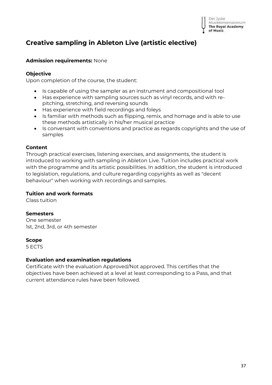Det Jyske Musikkonservatorium **The Royal Academy** of Music

# **Creative sampling in Ableton Live (artistic elective)**

## **Admission requirements:** None

## **Objective**

Upon completion of the course, the student:

- Is capable of using the sampler as an instrument and compositional tool
- Has experience with sampling sources such as vinyl records, and with repitching, stretching, and reversing sounds
- Has experience with field recordings and foleys
- Is familiar with methods such as flipping, remix, and homage and is able to use these methods artistically in his/her musical practice
- Is conversant with conventions and practice as regards copyrights and the use of samples

## **Content**

Through practical exercises, listening exercises, and assignments, the student is introduced to working with sampling in Ableton Live. Tuition includes practical work with the programme and its artistic possibilities. In addition, the student is introduced to legislation, regulations, and culture regarding copyrights as well as "decent behaviour" when working with recordings and samples.

## **Tuition and work formats**

Class tuition

## **Semesters**

One semester 1st, 2nd, 3rd, or 4th semester

## **Scope**

5 ECTS

## **Evaluation and examination regulations**

Certificate with the evaluation Approved/Not approved. This certifies that the objectives have been achieved at a level at least corresponding to a Pass, and that current attendance rules have been followed.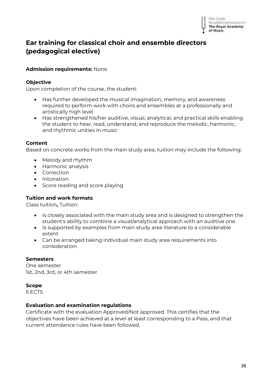## **Ear training for classical choir and ensemble directors (pedagogical elective)**

### **Admission requirements:** None

#### **Objective**

Upon completion of the course, the student:

- Has further developed the musical imagination, memory, and awareness required to perform work with choirs and ensembles at a professionally and artistically high level
- Has strengthened his/her auditive, visual, analytical, and practical skills enabling the student to hear, read, understand, and reproduce the melodic, harmonic, and rhythmic unities in music

#### **Content**

Based on concrete works from the main study area, tuition may include the following:

- Melody and rhythm
- Harmonic analysis
- Correction
- Intonation
- Score reading and score playing

## **Tuition and work formats**

Class tuition**,** Tuition:

- Is closely associated with the main study area and is designed to strengthen the student's ability to combine a visual/analytical approach with an auditive one
- Is supported by examples from main study area literature to a considerable extent
- Can be arranged taking individual main study area requirements into consideration

#### **Semesters**

One semester 1st, 2nd, 3rd, or 4th semester

#### **Scope**

5 ECTS

#### **Evaluation and examination regulations**

Certificate with the evaluation Approved/Not approved. This certifies that the objectives have been achieved at a level at least corresponding to a Pass, and that current attendance rules have been followed.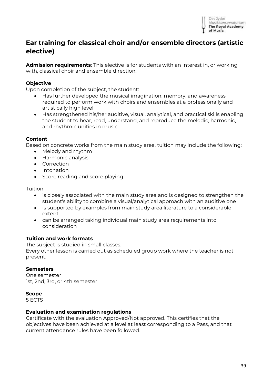

## **Ear training for classical choir and/or ensemble directors (artistic elective)**

**Admission requirements**: This elective is for students with an interest in, or working with, classical choir and ensemble direction.

### **Objective**

Upon completion of the subject, the student:

- Has further developed the musical imagination, memory, and awareness required to perform work with choirs and ensembles at a professionally and artistically high level
- Has strengthened his/her auditive, visual, analytical, and practical skills enabling the student to hear, read, understand, and reproduce the melodic, harmonic, and rhythmic unities in music

#### **Content**

Based on concrete works from the main study area, tuition may include the following:

- Melody and rhythm
- Harmonic analysis
- Correction
- Intonation
- Score reading and score playing

#### Tuition

- is closely associated with the main study area and is designed to strengthen the student's ability to combine a visual/analytical approach with an auditive one
- is supported by examples from main study area literature to a considerable extent
- can be arranged taking individual main study area requirements into consideration

#### **Tuition and work formats**

The subject is studied in small classes. Every other lesson is carried out as scheduled group work where the teacher is not present.

#### **Semesters**

One semester 1st, 2nd, 3rd, or 4th semester

#### **Scope**

5 ECTS

#### **Evaluation and examination regulations**

Certificate with the evaluation Approved/Not approved. This certifies that the objectives have been achieved at a level at least corresponding to a Pass, and that current attendance rules have been followed.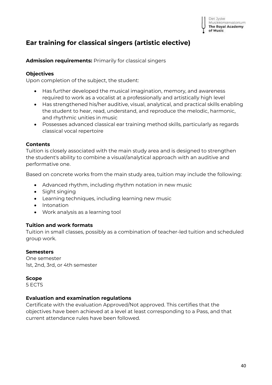## **Ear training for classical singers (artistic elective)**

**Admission requirements:** Primarily for classical singers

### **Objectives**

Upon completion of the subject, the student:

- Has further developed the musical imagination, memory, and awareness required to work as a vocalist at a professionally and artistically high level
- Has strengthened his/her auditive, visual, analytical, and practical skills enabling the student to hear, read, understand, and reproduce the melodic, harmonic, and rhythmic unities in music
- Possesses advanced classical ear training method skills, particularly as regards classical vocal repertoire

#### **Contents**

Tuition is closely associated with the main study area and is designed to strengthen the student's ability to combine a visual/analytical approach with an auditive and performative one.

Based on concrete works from the main study area, tuition may include the following:

- Advanced rhythm, including rhythm notation in new music
- Sight singing
- Learning techniques, including learning new music
- Intonation
- Work analysis as a learning tool

#### **Tuition and work formats**

Tuition in small classes, possibly as a combination of teacher-led tuition and scheduled group work.

#### **Semesters**

One semester 1st, 2nd, 3rd, or 4th semester

#### **Scope**

5 ECTS

#### **Evaluation and examination regulations**

Certificate with the evaluation Approved/Not approved. This certifies that the objectives have been achieved at a level at least corresponding to a Pass, and that current attendance rules have been followed.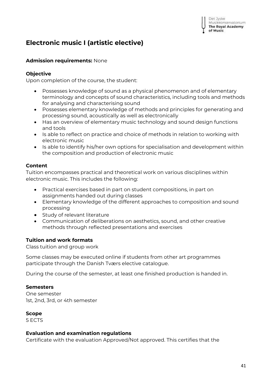# **Electronic music I (artistic elective)**

## **Admission requirements:** None

## **Objective**

Upon completion of the course, the student:

- Possesses knowledge of sound as a physical phenomenon and of elementary terminology and concepts of sound characteristics, including tools and methods for analysing and characterising sound
- Possesses elementary knowledge of methods and principles for generating and processing sound, acoustically as well as electronically
- Has an overview of elementary music technology and sound design functions and tools
- Is able to reflect on practice and choice of methods in relation to working with electronic music
- Is able to identify his/her own options for specialisation and development within the composition and production of electronic music

## **Content**

Tuition encompasses practical and theoretical work on various disciplines within electronic music. This includes the following:

- Practical exercises based in part on student compositions, in part on assignments handed out during classes
- Elementary knowledge of the different approaches to composition and sound processing
- Study of relevant literature
- Communication of deliberations on aesthetics, sound, and other creative methods through reflected presentations and exercises

## **Tuition and work formats**

Class tuition and group work

Some classes may be executed online if students from other art programmes participate through the Danish Tværs elective catalogue.

During the course of the semester, at least one finished production is handed in.

## **Semesters**

One semester 1st, 2nd, 3rd, or 4th semester

## **Scope**

5 ECTS

## **Evaluation and examination regulations**

Certificate with the evaluation Approved/Not approved. This certifies that the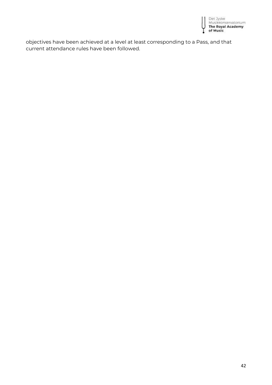

objectives have been achieved at a level at least corresponding to a Pass, and that current attendance rules have been followed.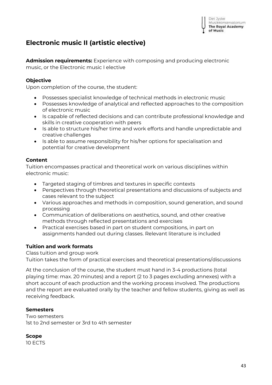

## **Electronic music II (artistic elective)**

**Admission requirements:** Experience with composing and producing electronic music, or the Electronic music I elective

### **Objective**

Upon completion of the course, the student:

- Possesses specialist knowledge of technical methods in electronic music
- Possesses knowledge of analytical and reflected approaches to the composition of electronic music
- Is capable of reflected decisions and can contribute professional knowledge and skills in creative cooperation with peers
- Is able to structure his/her time and work efforts and handle unpredictable and creative challenges
- Is able to assume responsibility for his/her options for specialisation and potential for creative development

## **Content**

Tuition encompasses practical and theoretical work on various disciplines within electronic music:

- Targeted staging of timbres and textures in specific contexts
- Perspectives through theoretical presentations and discussions of subjects and cases relevant to the subject
- Various approaches and methods in composition, sound generation, and sound processing
- Communication of deliberations on aesthetics, sound, and other creative methods through reflected presentations and exercises
- Practical exercises based in part on student compositions, in part on assignments handed out during classes. Relevant literature is included

## **Tuition and work formats**

Class tuition and group work

Tuition takes the form of practical exercises and theoretical presentations/discussions

At the conclusion of the course, the student must hand in 3-4 productions (total playing time: max. 20 minutes) and a report (2 to 3 pages excluding annexes) with a short account of each production and the working process involved. The productions and the report are evaluated orally by the teacher and fellow students, giving as well as receiving feedback.

#### **Semesters**

Two semesters 1st to 2nd semester or 3rd to 4th semester

**Scope** 10 ECTS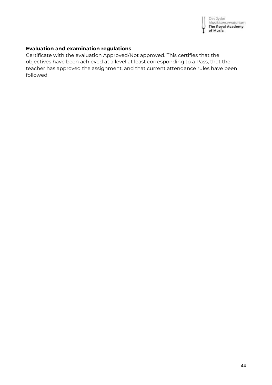

## **Evaluation and examination regulations**

Certificate with the evaluation Approved/Not approved. This certifies that the objectives have been achieved at a level at least corresponding to a Pass, that the teacher has approved the assignment, and that current attendance rules have been followed.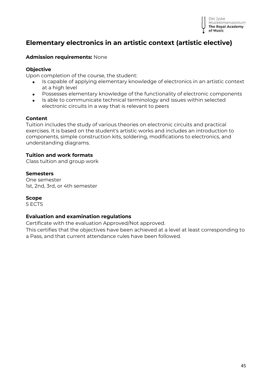

## **Elementary electronics in an artistic context (artistic elective)**

#### **Admission requirements:** None

#### **Objective**

Upon completion of the course, the student:

- Is capable of applying elementary knowledge of electronics in an artistic context at a high level
- Possesses elementary knowledge of the functionality of electronic components
- Is able to communicate technical terminology and issues within selected electronic circuits in a way that is relevant to peers

#### **Content**

Tuition includes the study of various theories on electronic circuits and practical exercises. It is based on the student's artistic works and includes an introduction to components, simple construction kits, soldering, modifications to electronics, and understanding diagrams.

#### **Tuition and work formats**

Class tuition and group work

#### **Semesters**

One semester 1st, 2nd, 3rd, or 4th semester

#### **Scope**

5 ECTS

#### **Evaluation and examination regulations**

Certificate with the evaluation Approved/Not approved.

This certifies that the objectives have been achieved at a level at least corresponding to a Pass, and that current attendance rules have been followed.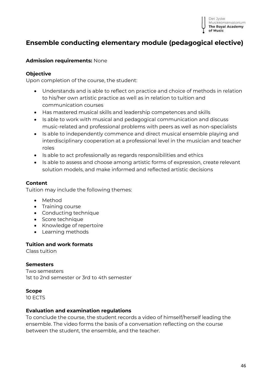

## **Ensemble conducting elementary module (pedagogical elective)**

#### **Admission requirements:** None

#### **Objective**

Upon completion of the course, the student:

- Understands and is able to reflect on practice and choice of methods in relation to his/her own artistic practice as well as in relation to tuition and communication courses
- Has mastered musical skills and leadership competences and skills
- Is able to work with musical and pedagogical communication and discuss music-related and professional problems with peers as well as non-specialists
- Is able to independently commence and direct musical ensemble playing and interdisciplinary cooperation at a professional level in the musician and teacher roles
- Is able to act professionally as regards responsibilities and ethics
- Is able to assess and choose among artistic forms of expression, create relevant solution models, and make informed and reflected artistic decisions

## **Content**

Tuition may include the following themes:

- Method
- Training course
- Conducting technique
- Score technique
- Knowledge of repertoire
- Learning methods

#### **Tuition and work formats**

Class tuition

#### **Semesters**

Two semesters 1st to 2nd semester or 3rd to 4th semester

#### **Scope**

10 ECTS

#### **Evaluation and examination regulations**

To conclude the course, the student records a video of himself/herself leading the ensemble. The video forms the basis of a conversation reflecting on the course between the student, the ensemble, and the teacher.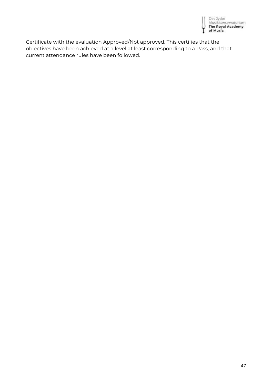

Certificate with the evaluation Approved/Not approved. This certifies that the objectives have been achieved at a level at least corresponding to a Pass, and that current attendance rules have been followed.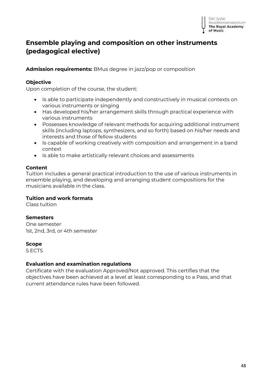## **Ensemble playing and composition on other instruments (pedagogical elective)**

**Admission requirements:** BMus degree in jazz/pop or composition

## **Objective**

Upon completion of the course, the student:

- Is able to participate independently and constructively in musical contexts on various instruments or singing
- Has developed his/her arrangement skills through practical experience with various instruments
- Possesses knowledge of relevant methods for acquiring additional instrument skills (including laptops, synthesizers, and so forth) based on his/her needs and interests and those of fellow students
- Is capable of working creatively with composition and arrangement in a band context
- Is able to make artistically relevant choices and assessments

## **Content**

Tuition includes a general practical introduction to the use of various instruments in ensemble playing, and developing and arranging student compositions for the musicians available in the class.

## **Tuition and work formats**

Class tuition

## **Semesters**

One semester 1st, 2nd, 3rd, or 4th semester

#### **Scope**

5 ECTS

## **Evaluation and examination regulations**

Certificate with the evaluation Approved/Not approved. This certifies that the objectives have been achieved at a level at least corresponding to a Pass, and that current attendance rules have been followed.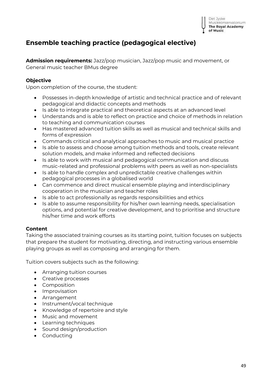

## **Ensemble teaching practice (pedagogical elective)**

**Admission requirements:** Jazz/pop musician, Jazz/pop music and movement, or General music teacher BMus degree

### **Objective**

Upon completion of the course, the student:

- Possesses in-depth knowledge of artistic and technical practice and of relevant pedagogical and didactic concepts and methods
- Is able to integrate practical and theoretical aspects at an advanced level
- Understands and is able to reflect on practice and choice of methods in relation to teaching and communication courses
- Has mastered advanced tuition skills as well as musical and technical skills and forms of expression
- Commands critical and analytical approaches to music and musical practice
- Is able to assess and choose among tuition methods and tools, create relevant solution models, and make informed and reflected decisions
- Is able to work with musical and pedagogical communication and discuss music-related and professional problems with peers as well as non-specialists
- Is able to handle complex and unpredictable creative challenges within pedagogical processes in a globalised world
- Can commence and direct musical ensemble playing and interdisciplinary cooperation in the musician and teacher roles
- Is able to act professionally as regards responsibilities and ethics
- Is able to assume responsibility for his/her own learning needs, specialisation options, and potential for creative development, and to prioritise and structure his/her time and work efforts

## **Content**

Taking the associated training courses as its starting point, tuition focuses on subjects that prepare the student for motivating, directing, and instructing various ensemble playing groups as well as composing and arranging for them.

Tuition covers subjects such as the following:

- Arranging tuition courses
- Creative processes
- Composition
- Improvisation
- Arrangement
- Instrument/vocal technique
- Knowledge of repertoire and style
- Music and movement
- Learning techniques
- Sound design/production
- Conducting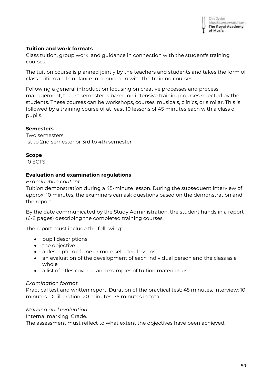## **Tuition and work formats**

Class tuition, group work, and guidance in connection with the student's training courses.

The tuition course is planned jointly by the teachers and students and takes the form of class tuition and guidance in connection with the training courses:

Following a general introduction focusing on creative processes and process management, the 1st semester is based on intensive training courses selected by the students. These courses can be workshops, courses, musicals, clinics, or similar. This is followed by a training course of at least 10 lessons of 45 minutes each with a class of pupils.

## **Semesters**

Two semesters 1st to 2nd semester or 3rd to 4th semester

## **Scope**

10 ECTS

## **Evaluation and examination regulations**

*Examination content*

Tuition demonstration during a 45-minute lesson. During the subsequent interview of approx. 10 minutes, the examiners can ask questions based on the demonstration and the report.

By the date communicated by the Study Administration, the student hands in a report (6-8 pages) describing the completed training courses.

The report must include the following:

- pupil descriptions
- the objective
- a description of one or more selected lessons
- an evaluation of the development of each individual person and the class as a whole
- a list of titles covered and examples of tuition materials used

## *Examination format*

Practical test and written report. Duration of the practical test: 45 minutes. Interview: 10 minutes. Deliberation: 20 minutes. 75 minutes in total.

## *Marking and evaluation*

Internal marking. Grade.

The assessment must reflect to what extent the objectives have been achieved.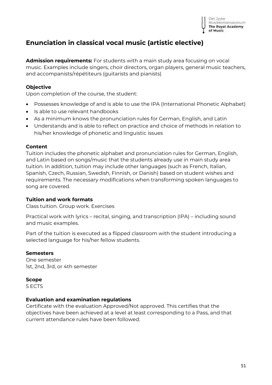## **Enunciation in classical vocal music (artistic elective)**

**Admission requirements:** For students with a main study area focusing on vocal music. Examples include singers, choir directors, organ players, general music teachers, and accompanists/répétiteurs (guitarists and pianists)

## **Objective**

Upon completion of the course, the student:

- Possesses knowledge of and is able to use the IPA (International Phonetic Alphabet)
- Is able to use relevant handbooks
- As a minimum knows the pronunciation rules for German, English, and Latin
- Understands and is able to reflect on practice and choice of methods in relation to his/her knowledge of phonetic and linguistic issues

## **Content**

Tuition includes the phonetic alphabet and pronunciation rules for German, English, and Latin based on songs/music that the students already use in main study area tuition. In addition, tuition may include other languages (such as French, Italian, Spanish, Czech, Russian, Swedish, Finnish, or Danish) based on student wishes and requirements. The necessary modifications when transforming spoken languages to song are covered.

## **Tuition and work formats**

Class tuition. Group work. Exercises

Practical work with lyrics – recital, singing, and transcription (IPA) – including sound and music examples.

Part of the tuition is executed as a flipped classroom with the student introducing a selected language for his/her fellow students.

## **Semesters**

One semester 1st, 2nd, 3rd, or 4th semester

## **Scope**

5 ECTS

## **Evaluation and examination regulations**

Certificate with the evaluation Approved/Not approved. This certifies that the objectives have been achieved at a level at least corresponding to a Pass, and that current attendance rules have been followed.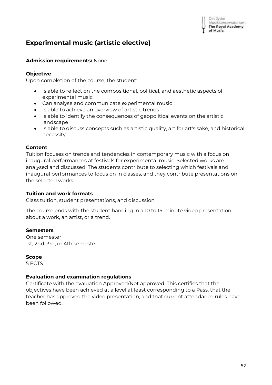# **Experimental music (artistic elective)**

## **Admission requirements:** None

## **Objective**

Upon completion of the course, the student:

- Is able to reflect on the compositional, political, and aesthetic aspects of experimental music
- Can analyse and communicate experimental music
- Is able to achieve an overview of artistic trends
- Is able to identify the consequences of geopolitical events on the artistic landscape
- Is able to discuss concepts such as artistic quality, art for art's sake, and historical necessity

## **Content**

Tuition focuses on trends and tendencies in contemporary music with a focus on inaugural performances at festivals for experimental music. Selected works are analysed and discussed. The students contribute to selecting which festivals and inaugural performances to focus on in classes, and they contribute presentations on the selected works.

## **Tuition and work formats**

Class tuition, student presentations, and discussion

The course ends with the student handing in a 10 to 15-minute video presentation about a work, an artist, or a trend.

## **Semesters**

One semester 1st, 2nd, 3rd, or 4th semester

## **Scope**

5 ECTS

## **Evaluation and examination regulations**

Certificate with the evaluation Approved/Not approved. This certifies that the objectives have been achieved at a level at least corresponding to a Pass, that the teacher has approved the video presentation, and that current attendance rules have been followed.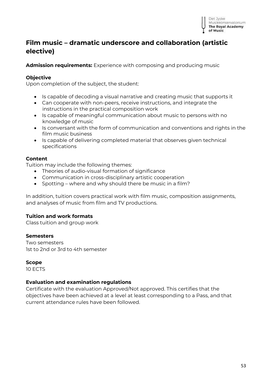

## **Film music – dramatic underscore and collaboration (artistic elective)**

**Admission requirements:** Experience with composing and producing music

## **Objective**

Upon completion of the subject, the student:

- Is capable of decoding a visual narrative and creating music that supports it
- Can cooperate with non-peers, receive instructions, and integrate the instructions in the practical composition work
- Is capable of meaningful communication about music to persons with no knowledge of music
- Is conversant with the form of communication and conventions and rights in the film music business
- Is capable of delivering completed material that observes given technical specifications

#### **Content**

Tuition may include the following themes:

- Theories of audio-visual formation of significance
- Communication in cross-disciplinary artistic cooperation
- Spotting where and why should there be music in a film?

In addition, tuition covers practical work with film music, composition assignments, and analyses of music from film and TV productions.

## **Tuition and work formats**

Class tuition and group work

## **Semesters**

Two semesters 1st to 2nd or 3rd to 4th semester

#### **Scope**

10 ECTS

## **Evaluation and examination regulations**

Certificate with the evaluation Approved/Not approved. This certifies that the objectives have been achieved at a level at least corresponding to a Pass, and that current attendance rules have been followed.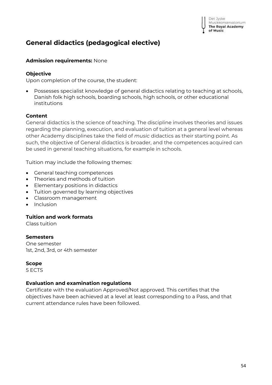## **General didactics (pedagogical elective)**

#### **Admission requirements:** None

#### **Objective**

Upon completion of the course, the student:

• Possesses specialist knowledge of general didactics relating to teaching at schools, Danish folk high schools, boarding schools, high schools, or other educational institutions

#### **Content**

General didactics is the science of teaching. The discipline involves theories and issues regarding the planning, execution, and evaluation of tuition at a general level whereas other Academy disciplines take the field of *music* didactics as their starting point. As such, the objective of General didactics is broader, and the competences acquired can be used in general teaching situations, for example in schools.

Tuition may include the following themes:

- General teaching competences
- Theories and methods of tuition
- Elementary positions in didactics
- Tuition governed by learning objectives
- Classroom management
- Inclusion

#### **Tuition and work formats**

Class tuition

## **Semesters**

One semester 1st, 2nd, 3rd, or 4th semester

#### **Scope**

5 ECTS

## **Evaluation and examination regulations**

Certificate with the evaluation Approved/Not approved. This certifies that the objectives have been achieved at a level at least corresponding to a Pass, and that current attendance rules have been followed.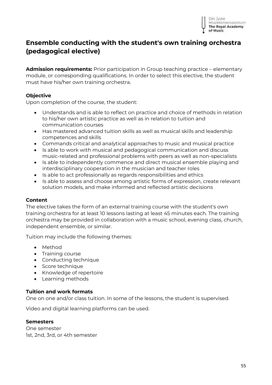

## **Ensemble conducting with the student's own training orchestra (pedagogical elective)**

**Admission requirements:** Prior participation in Group teaching practice – elementary module, or corresponding qualifications. In order to select this elective, the student must have his/her own training orchestra.

### **Objective**

Upon completion of the course, the student:

- Understands and is able to reflect on practice and choice of methods in relation to his/her own artistic practice as well as in relation to tuition and communication courses
- Has mastered advanced tuition skills as well as musical skills and leadership competences and skills
- Commands critical and analytical approaches to music and musical practice
- Is able to work with musical and pedagogical communication and discuss music-related and professional problems with peers as well as non-specialists
- Is able to independently commence and direct musical ensemble playing and interdisciplinary cooperation in the musician and teacher roles
- Is able to act professionally as regards responsibilities and ethics
- Is able to assess and choose among artistic forms of expression, create relevant solution models, and make informed and reflected artistic decisions

#### **Content**

The elective takes the form of an external training course with the student's own training orchestra for at least 10 lessons lasting at least 45 minutes each. The training orchestra may be provided in collaboration with a music school, evening class, church, independent ensemble, or similar.

Tuition may include the following themes:

- Method
- Training course
- Conducting technique
- Score technique
- Knowledge of repertoire
- Learning methods

#### **Tuition and work formats**

One on one and/or class tuition. In some of the lessons, the student is supervised.

Video and digital learning platforms can be used.

#### **Semesters**

One semester 1st, 2nd, 3rd, or 4th semester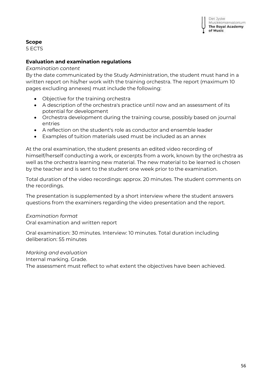### **Scope**

5 ECTS

## **Evaluation and examination regulations**

#### *Examination content*

By the date communicated by the Study Administration, the student must hand in a written report on his/her work with the training orchestra. The report (maximum 10 pages excluding annexes) must include the following:

- Objective for the training orchestra
- A description of the orchestra's practice until now and an assessment of its potential for development
- Orchestra development during the training course, possibly based on journal entries
- A reflection on the student's role as conductor and ensemble leader
- Examples of tuition materials used must be included as an annex

At the oral examination, the student presents an edited video recording of himself/herself conducting a work, or excerpts from a work, known by the orchestra as well as the orchestra learning new material. The new material to be learned is chosen by the teacher and is sent to the student one week prior to the examination.

Total duration of the video recordings: approx. 20 minutes. The student comments on the recordings.

The presentation is supplemented by a short interview where the student answers questions from the examiners regarding the video presentation and the report.

## *Examination format*

Oral examination and written report

Oral examination: 30 minutes. Interview: 10 minutes. Total duration including deliberation: 55 minutes

*Marking and evaluation*

Internal marking. Grade.

The assessment must reflect to what extent the objectives have been achieved.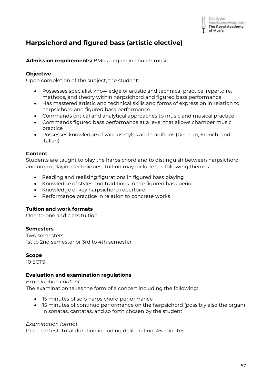## **Harpsichord and figured bass (artistic elective)**

**Admission requirements:** BMus degree in church music

#### **Objective**

Upon completion of the subject, the student:

- Possesses specialist knowledge of artistic and technical practice, repertoire, methods, and theory within harpsichord and figured bass performance
- Has mastered artistic and technical skills and forms of expression in relation to harpsichord and figured bass performance
- Commands critical and analytical approaches to music and musical practice
- Commands figured bass performance at a level that allows chamber music practice
- Possesses knowledge of various styles and traditions (German, French, and Italian)

#### **Content**

Students are taught to play the harpsichord and to distinguish between harpsichord and organ playing techniques. Tuition may include the following themes:

- Reading and realising figurations in figured bass playing
- Knowledge of styles and traditions in the figured bass period
- Knowledge of key harpsichord repertoire
- Performance practice in relation to concrete works

## **Tuition and work formats**

One-to-one and class tuition

#### **Semesters**

Two semesters 1st to 2nd semester or 3rd to 4th semester

#### **Scope**

10 ECTS

## **Evaluation and examination regulations**

*Examination content* The examination takes the form of a concert including the following:

- 15 minutes of solo harpsichord performance
- 15 minutes of continuo performance on the harpsichord (possibly also the organ) in sonatas, cantatas, and so forth chosen by the student

## *Examination format*

Practical test. Total duration including deliberation: 45 minutes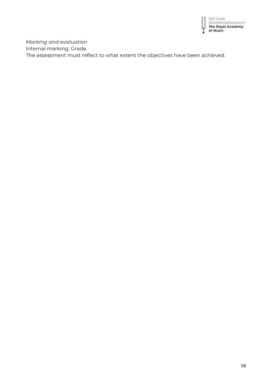

*Marking and evaluation* Internal marking. Grade. The assessment must reflect to what extent the objectives have been achieved.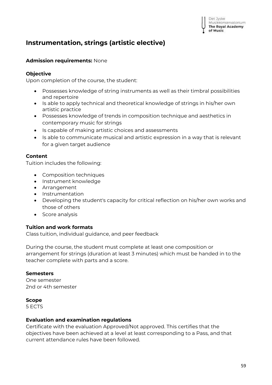## **Instrumentation, strings (artistic elective)**

### **Admission requirements:** None

#### **Objective**

Upon completion of the course, the student:

- Possesses knowledge of string instruments as well as their timbral possibilities and repertoire
- Is able to apply technical and theoretical knowledge of strings in his/her own artistic practice
- Possesses knowledge of trends in composition technique and aesthetics in contemporary music for strings
- Is capable of making artistic choices and assessments
- Is able to communicate musical and artistic expression in a way that is relevant for a given target audience

#### **Content**

Tuition includes the following:

- Composition techniques
- Instrument knowledge
- Arrangement
- Instrumentation
- Developing the student's capacity for critical reflection on his/her own works and those of others
- Score analysis

## **Tuition and work formats**

Class tuition, individual guidance, and peer feedback

During the course, the student must complete at least one composition or arrangement for strings (duration at least 3 minutes) which must be handed in to the teacher complete with parts and a score.

#### **Semesters**

One semester 2nd or 4th semester

#### **Scope**

5 ECTS

#### **Evaluation and examination regulations**

Certificate with the evaluation Approved/Not approved. This certifies that the objectives have been achieved at a level at least corresponding to a Pass, and that current attendance rules have been followed.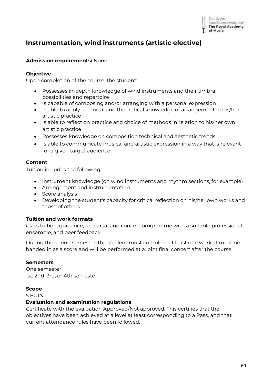

# **Instrumentation, wind instruments (artistic elective)**

## **Admission requirements:** None

## **Objective**

Upon completion of the course, the student:

- Possesses in-depth knowledge of wind instruments and their timbral possibilities and repertoire
- Is capable of composing and/or arranging with a personal expression
- Is able to apply technical and theoretical knowledge of arrangement in his/her artistic practice
- Is able to reflect on practice and choice of methods in relation to his/her own artistic practice
- Possesses knowledge on composition technical and aesthetic trends
- Is able to communicate musical and artistic expression in a way that is relevant for a given target audience

## **Content**

Tuition includes the following:

- Instrument knowledge (on wind instruments and rhythm sections, for example)
- Arrangement and instrumentation
- Score analysis
- Developing the student's capacity for critical reflection on his/her own works and those of others

## **Tuition and work formats**

Class tuition, guidance, rehearsal and concert programme with a suitable professional ensemble, and peer feedback

During the spring semester, the student must complete at least one work. It must be handed in as a score and will be performed at a joint final concert after the course.

## **Semesters**

One semester 1st, 2nd, 3rd, or 4th semester

## **Scope**

5 ECTS

## **Evaluation and examination regulations**

Certificate with the evaluation Approved/Not approved. This certifies that the objectives have been achieved at a level at least corresponding to a Pass, and that current attendance rules have been followed.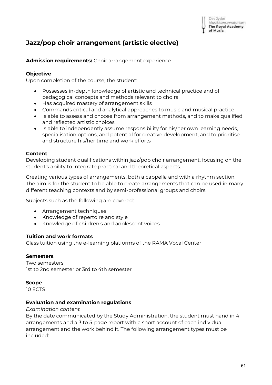## **Jazz/pop choir arrangement (artistic elective)**

**Admission requirements:** Choir arrangement experience

## **Objective**

Upon completion of the course, the student:

- Possesses in-depth knowledge of artistic and technical practice and of pedagogical concepts and methods relevant to choirs
- Has acquired mastery of arrangement skills
- Commands critical and analytical approaches to music and musical practice
- Is able to assess and choose from arrangement methods, and to make qualified and reflected artistic choices
- Is able to independently assume responsibility for his/her own learning needs, specialisation options, and potential for creative development, and to prioritise and structure his/her time and work efforts

#### **Content**

Developing student qualifications within jazz/pop choir arrangement, focusing on the student's ability to integrate practical and theoretical aspects.

Creating various types of arrangements, both a cappella and with a rhythm section. The aim is for the student to be able to create arrangements that can be used in many different teaching contexts and by semi-professional groups and choirs.

Subjects such as the following are covered:

- Arrangement techniques
- Knowledge of repertoire and style
- Knowledge of children's and adolescent voices

#### **Tuition and work formats**

Class tuition using the e-learning platforms of the RAMA Vocal Center

#### **Semesters**

Two semesters 1st to 2nd semester or 3rd to 4th semester

#### **Scope**

10 ECTS

#### **Evaluation and examination regulations**

#### *Examination content*

By the date communicated by the Study Administration, the student must hand in 4 arrangements and a 3 to 5-page report with a short account of each individual arrangement and the work behind it. The following arrangement types must be included: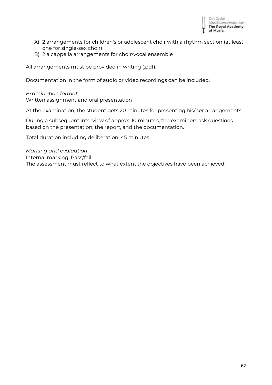

- A) 2 arrangements for children's or adolescent choir with a rhythm section (at least one for single-sex choir)
- B) 2 a cappella arrangements for choir/vocal ensemble

All arrangements must be provided in writing (.pdf).

Documentation in the form of audio or video recordings can be included.

#### *Examination format*

Written assignment and oral presentation

At the examination, the student gets 20 minutes for presenting his/her arrangements.

During a subsequent interview of approx. 10 minutes, the examiners ask questions based on the presentation, the report, and the documentation.

Total duration including deliberation: 45 minutes

*Marking and evaluation* Internal marking. Pass/fail. The assessment must reflect to what extent the objectives have been achieved.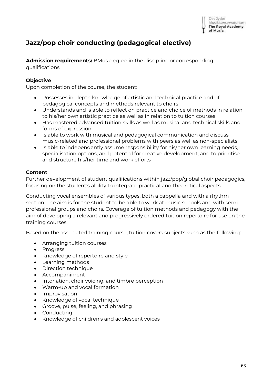

## **Jazz/pop choir conducting (pedagogical elective)**

**Admission requirements:** BMus degree in the discipline or corresponding qualifications

## **Objective**

Upon completion of the course, the student:

- Possesses in-depth knowledge of artistic and technical practice and of pedagogical concepts and methods relevant to choirs
- Understands and is able to reflect on practice and choice of methods in relation to his/her own artistic practice as well as in relation to tuition courses
- Has mastered advanced tuition skills as well as musical and technical skills and forms of expression
- Is able to work with musical and pedagogical communication and discuss music-related and professional problems with peers as well as non-specialists
- Is able to independently assume responsibility for his/her own learning needs, specialisation options, and potential for creative development, and to prioritise and structure his/her time and work efforts

#### **Content**

Further development of student qualifications within jazz/pop/global choir pedagogics, focusing on the student's ability to integrate practical and theoretical aspects.

Conducting vocal ensembles of various types, both a cappella and with a rhythm section. The aim is for the student to be able to work at music schools and with semiprofessional groups and choirs. Coverage of tuition methods and pedagogy with the aim of developing a relevant and progressively ordered tuition repertoire for use on the training courses.

Based on the associated training course, tuition covers subjects such as the following:

- Arranging tuition courses
- Progress
- Knowledge of repertoire and style
- Learning methods
- Direction technique
- Accompaniment
- Intonation, choir voicing, and timbre perception
- Warm-up and vocal formation
- Improvisation
- Knowledge of vocal technique
- Groove, pulse, feeling, and phrasing
- Conducting
- Knowledge of children's and adolescent voices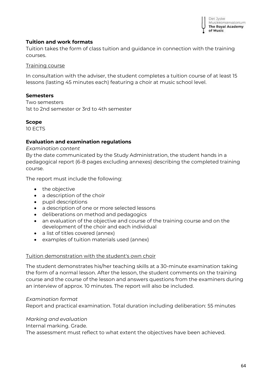

## **Tuition and work formats**

Tuition takes the form of class tuition and guidance in connection with the training courses.

#### Training course

In consultation with the adviser, the student completes a tuition course of at least 15 lessons (lasting 45 minutes each) featuring a choir at music school level.

#### **Semesters**

Two semesters 1st to 2nd semester or 3rd to 4th semester

#### **Scope**

10 ECTS

#### **Evaluation and examination regulations**

*Examination content*

By the date communicated by the Study Administration, the student hands in a pedagogical report (6-8 pages excluding annexes) describing the completed training course.

The report must include the following:

- the objective
- a description of the choir
- pupil descriptions
- a description of one or more selected lessons
- deliberations on method and pedagogics
- an evaluation of the objective and course of the training course and on the development of the choir and each individual
- a list of titles covered (annex)
- examples of tuition materials used (annex)

#### Tuition demonstration with the student's own choir

The student demonstrates his/her teaching skills at a 30-minute examination taking the form of a normal lesson. After the lesson, the student comments on the training course and the course of the lesson and answers questions from the examiners during an interview of approx. 10 minutes. The report will also be included.

#### *Examination format*

Report and practical examination. Total duration including deliberation: 55 minutes

#### *Marking and evaluation*

Internal marking. Grade.

The assessment must reflect to what extent the objectives have been achieved.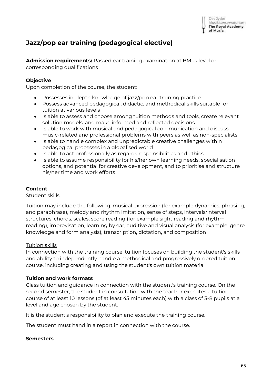

## **Jazz/pop ear training (pedagogical elective)**

**Admission requirements:** Passed ear training examination at BMus level or corresponding qualifications

## **Objective**

Upon completion of the course, the student:

- Possesses in-depth knowledge of jazz/pop ear training practice
- Possess advanced pedagogical, didactic, and methodical skills suitable for tuition at various levels
- Is able to assess and choose among tuition methods and tools, create relevant solution models, and make informed and reflected decisions
- Is able to work with musical and pedagogical communication and discuss music-related and professional problems with peers as well as non-specialists
- Is able to handle complex and unpredictable creative challenges within pedagogical processes in a globalised world
- Is able to act professionally as regards responsibilities and ethics
- Is able to assume responsibility for his/her own learning needs, specialisation options, and potential for creative development, and to prioritise and structure his/her time and work efforts

## **Content**

#### Student skills

Tuition may include the following: musical expression (for example dynamics, phrasing, and paraphrase), melody and rhythm imitation, sense of steps, intervals/interval structures, chords, scales, score reading (for example sight reading and rhythm reading), improvisation, learning by ear, auditive and visual analysis (for example, genre knowledge and form analysis), transcription, dictation, and composition

## Tuition skills

In connection with the training course, tuition focuses on building the student's skills and ability to independently handle a methodical and progressively ordered tuition course, including creating and using the student's own tuition material

## **Tuition and work formats**

Class tuition and guidance in connection with the student's training course. On the second semester, the student in consultation with the teacher executes a tuition course of at least 10 lessons (of at least 45 minutes each) with a class of 3-8 pupils at a level and age chosen by the student.

It is the student's responsibility to plan and execute the training course.

The student must hand in a report in connection with the course.

#### **Semesters**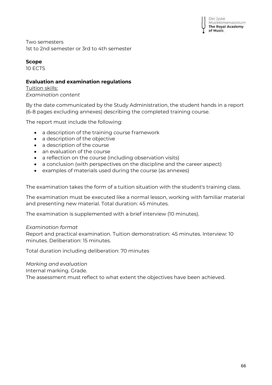Two semesters 1st to 2nd semester or 3rd to 4th semester

## **Scope**

10 ECTS

## **Evaluation and examination regulations**

Tuition skills: *Examination content*

By the date communicated by the Study Administration, the student hands in a report (6-8 pages excluding annexes) describing the completed training course.

The report must include the following:

- a description of the training course framework
- a description of the objective
- a description of the course
- an evaluation of the course
- a reflection on the course (including observation visits)
- a conclusion (with perspectives on the discipline and the career aspect)
- examples of materials used during the course (as annexes)

The examination takes the form of a tuition situation with the student's training class.

The examination must be executed like a normal lesson, working with familiar material and presenting new material. Total duration: 45 minutes.

The examination is supplemented with a brief interview (10 minutes).

## *Examination format*

Report and practical examination. Tuition demonstration: 45 minutes. Interview: 10 minutes. Deliberation: 15 minutes.

Total duration including deliberation: 70 minutes

*Marking and evaluation*

Internal marking. Grade.

The assessment must reflect to what extent the objectives have been achieved.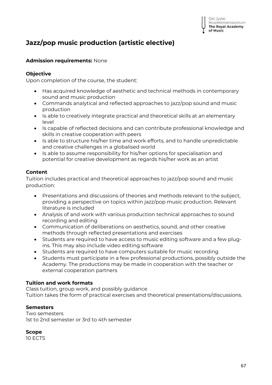# **Jazz/pop music production (artistic elective)**

## **Admission requirements:** None

## **Objective**

Upon completion of the course, the student:

- Has acquired knowledge of aesthetic and technical methods in contemporary sound and music production
- Commands analytical and reflected approaches to jazz/pop sound and music production
- Is able to creatively integrate practical and theoretical skills at an elementary level
- Is capable of reflected decisions and can contribute professional knowledge and skills in creative cooperation with peers
- Is able to structure his/her time and work efforts, and to handle unpredictable and creative challenges in a globalised world
- Is able to assume responsibility for his/her options for specialisation and potential for creative development as regards his/her work as an artist

## **Content**

Tuition includes practical and theoretical approaches to jazz/pop sound and music production:

- Presentations and discussions of theories and methods relevant to the subject, providing a perspective on topics within jazz/pop music production. Relevant literature is included
- Analysis of and work with various production technical approaches to sound recording and editing
- Communication of deliberations on aesthetics, sound, and other creative methods through reflected presentations and exercises
- Students are required to have access to music editing software and a few plugins. This may also include video editing software
- Students are required to have computers suitable for music recording
- Students must participate in a few professional productions, possibly outside the Academy. The productions may be made in cooperation with the teacher or external cooperation partners

## **Tuition and work formats**

Class tuition, group work, and possibly guidance

Tuition takes the form of practical exercises and theoretical presentations/discussions.

## **Semesters**

Two semesters 1st to 2nd semester or 3rd to 4th semester

## **Scope**

10 ECTS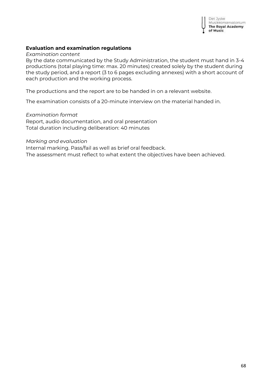

### **Evaluation and examination regulations**

*Examination content*

By the date communicated by the Study Administration, the student must hand in 3-4 productions (total playing time: max. 20 minutes) created solely by the student during the study period, and a report (3 to 6 pages excluding annexes) with a short account of each production and the working process.

The productions and the report are to be handed in on a relevant website.

The examination consists of a 20-minute interview on the material handed in.

#### *Examination format*

Report, audio documentation, and oral presentation Total duration including deliberation: 40 minutes

#### *Marking and evaluation*

Internal marking. Pass/fail as well as brief oral feedback. The assessment must reflect to what extent the objectives have been achieved.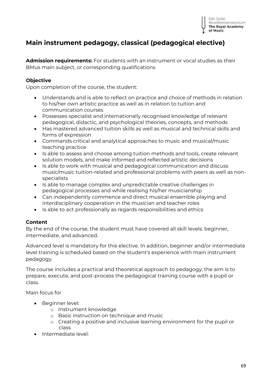

## **Main instrument pedagogy, classical (pedagogical elective)**

**Admission requirements:** For students with an instrument or vocal studies as their BMus main subject, or corresponding qualifications

### **Objective**

Upon completion of the course, the student:

- Understands and is able to reflect on practice and choice of methods in relation to his/her own artistic practice as well as in relation to tuition and communication courses
- Possesses specialist and internationally recognised knowledge of relevant pedagogical, didactic, and psychological theories, concepts, and methods
- Has mastered advanced tuition skills as well as musical and technical skills and forms of expression
- Commands critical and analytical approaches to music and musical/music teaching practice
- Is able to assess and choose among tuition methods and tools, create relevant solution models, and make informed and reflected artistic decisions
- Is able to work with musical and pedagogical communication and discuss music/music tuition-related and professional problems with peers as well as nonspecialists
- Is able to manage complex and unpredictable creative challenges in pedagogical processes and while realising his/her musicianship
- Can independently commence and direct musical ensemble playing and interdisciplinary cooperation in the musician and teacher roles
- Is able to act professionally as regards responsibilities and ethics

## **Content**

By the end of the course, the student must have covered all skill levels: beginner, intermediate, and advanced.

Advanced level is mandatory for this elective. In addition, beginner and/or intermediate level training is scheduled based on the student's experience with main instrument pedagogy.

The course includes a practical and theoretical approach to pedagogy; the aim is to prepare, execute, and post-process the pedagogical training course with a pupil or class.

Main focus for

- Beginner level:
	- o Instrument knowledge
	- o Basic instruction on technique and music
	- o Creating a positive and inclusive learning environment for the pupil or class
- Intermediate level: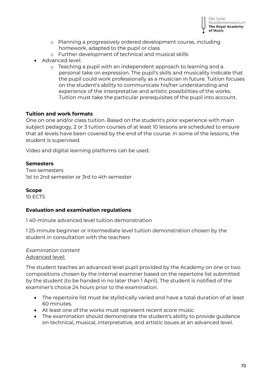

- o Planning a progressively ordered development course, including homework, adapted to the pupil or class
- o Further development of technical and musical skills
- Advanced level:
	- o Teaching a pupil with an independent approach to learning and a personal take on expression. The pupil's skills and musicality indicate that the pupil could work professionally as a musician in future. Tuition focuses on the student's ability to communicate his/her understanding and experience of the interpretative and artistic possibilities of the works. Tuition must take the particular prerequisites of the pupil into account.

#### **Tuition and work formats**

One on one and/or class tuition. Based on the student's prior experience with main subject pedagogy, 2 or 3 tuition courses of at least 10 lessons are scheduled to ensure that all levels have been covered by the end of the course. In some of the lessons, the student is supervised.

Video and digital learning platforms can be used.

#### **Semesters**

Two semesters 1st to 2nd semester or 3rd to 4th semester

#### **Scope**

10 ECTS

#### **Evaluation and examination regulations**

1 40-minute advanced level tuition demonstration

1 25-minute beginner or intermediate level tuition demonstration chosen by the student in consultation with the teachers

*Examination content* Advanced level:

The student teaches an advanced level pupil provided by the Academy on one or two compositions chosen by the internal examiner based on the repertoire list submitted by the student (to be handed in no later than 1 April). The student is notified of the examiner's choice 24 hours prior to the examination.

- The repertoire list must be stylistically varied and have a total duration of at least 60 minutes.
- At least one of the works must represent recent score music.
- The examination should demonstrate the student's ability to provide guidance on technical, musical, interpretative, and artistic issues at an advanced level.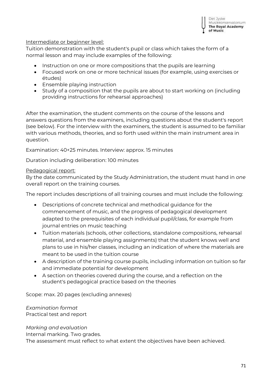

#### Intermediate or beginner level:

Tuition demonstration with the student's pupil or class which takes the form of a normal lesson and may include examples of the following:

- Instruction on one or more compositions that the pupils are learning
- Focused work on one or more technical issues (for example, using exercises or études)
- Ensemble playing instruction
- Study of a composition that the pupils are about to start working on (including providing instructions for rehearsal approaches)

After the examination, the student comments on the course of the lessons and answers questions from the examiners, including questions about the student's report (see below). For the interview with the examiners, the student is assumed to be familiar with various methods, theories, and so forth used within the main instrument area in question.

Examination: 40+25 minutes. Interview: approx. 15 minutes

Duration including deliberation: 100 minutes

#### Pedagogical report:

By the date communicated by the Study Administration, the student must hand in *one* overall report on the training courses.

The report includes descriptions of all training courses and must include the following:

- Descriptions of concrete technical and methodical guidance for the commencement of music, and the progress of pedagogical development adapted to the prerequisites of each individual pupil/class, for example from journal entries on music teaching
- Tuition materials (schools, other collections, standalone compositions, rehearsal material, and ensemble playing assignments) that the student knows well and plans to use in his/her classes, including an indication of where the materials are meant to be used in the tuition course
- A description of the training course pupils, including information on tuition so far and immediate potential for development
- A section on theories covered during the course, and a reflection on the student's pedagogical practice based on the theories

Scope: max. 20 pages (excluding annexes)

*Examination format* Practical test and report

*Marking and evaluation* Internal marking. Two grades. The assessment must reflect to what extent the objectives have been achieved.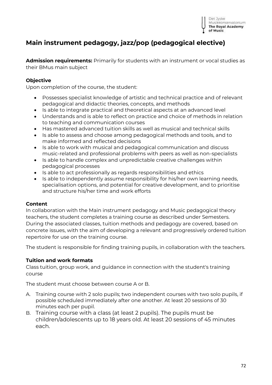## **Main instrument pedagogy, jazz/pop (pedagogical elective)**

**Admission requirements:** Primarily for students with an instrument or vocal studies as their BMus main subject

## **Objective**

Upon completion of the course, the student:

- Possesses specialist knowledge of artistic and technical practice and of relevant pedagogical and didactic theories, concepts, and methods
- Is able to integrate practical and theoretical aspects at an advanced level
- Understands and is able to reflect on practice and choice of methods in relation to teaching and communication courses
- Has mastered advanced tuition skills as well as musical and technical skills
- Is able to assess and choose among pedagogical methods and tools, and to make informed and reflected decisions
- Is able to work with musical and pedagogical communication and discuss music-related and professional problems with peers as well as non-specialists
- Is able to handle complex and unpredictable creative challenges within pedagogical processes
- Is able to act professionally as regards responsibilities and ethics
- Is able to independently assume responsibility for his/her own learning needs, specialisation options, and potential for creative development, and to prioritise and structure his/her time and work efforts

## **Content**

In collaboration with the Main instrument pedagogy and Music pedagogical theory teachers, the student completes a training course as described under Semesters. During the associated classes, tuition methods and pedagogy are covered, based on concrete issues, with the aim of developing a relevant and progressively ordered tuition repertoire for use on the training course.

The student is responsible for finding training pupils, in collaboration with the teachers.

## **Tuition and work formats**

Class tuition, group work, and guidance in connection with the student's training course

The student must choose between course A or B.

- A. Training course with 2 solo pupils; two independent courses with two solo pupils, if possible scheduled immediately after one another. At least 20 sessions of 30 minutes each per pupil.
- B. Training course with a class (at least 2 pupils). The pupils must be children/adolescents up to 18 years old. At least 20 sessions of 45 minutes each.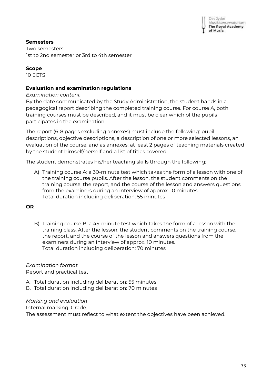## **Semesters**

Two semesters 1st to 2nd semester or 3rd to 4th semester

## **Scope**

10 ECTS

## **Evaluation and examination regulations**

*Examination content*

By the date communicated by the Study Administration, the student hands in a pedagogical report describing the completed training course. For course A, both training courses must be described, and it must be clear which of the pupils participates in the examination.

The report (6-8 pages excluding annexes) must include the following: pupil descriptions, objective descriptions, a description of one or more selected lessons, an evaluation of the course, and as annexes: at least 2 pages of teaching materials created by the student himself/herself and a list of titles covered.

The student demonstrates his/her teaching skills through the following:

A) Training course A: a 30-minute test which takes the form of a lesson with one of the training course pupils. After the lesson, the student comments on the training course, the report, and the course of the lesson and answers questions from the examiners during an interview of approx. 10 minutes. Total duration including deliberation: 55 minutes

## **OR**

B) Training course B: a 45-minute test which takes the form of a lesson with the training class. After the lesson, the student comments on the training course, the report, and the course of the lesson and answers questions from the examiners during an interview of approx. 10 minutes. Total duration including deliberation: 70 minutes

## *Examination format*

Report and practical test

A. Total duration including deliberation: 55 minutes

B. Total duration including deliberation: 70 minutes

*Marking and evaluation* Internal marking. Grade.

The assessment must reflect to what extent the objectives have been achieved.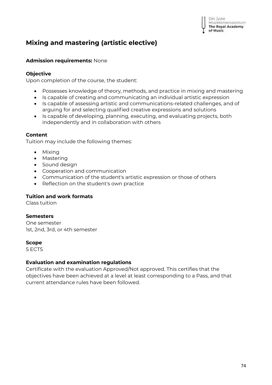# **Mixing and mastering (artistic elective)**

## **Admission requirements:** None

### **Objective**

Upon completion of the course, the student:

- Possesses knowledge of theory, methods, and practice in mixing and mastering
- Is capable of creating and communicating an individual artistic expression
- Is capable of assessing artistic and communications-related challenges, and of arguing for and selecting qualified creative expressions and solutions
- Is capable of developing, planning, executing, and evaluating projects, both independently and in collaboration with others

## **Content**

Tuition may include the following themes:

- Mixing
- Mastering
- Sound design
- Cooperation and communication
- Communication of the student's artistic expression or those of others
- Reflection on the student's own practice

#### **Tuition and work formats**

Class tuition

#### **Semesters**

One semester 1st, 2nd, 3rd, or 4th semester

#### **Scope**

5 ECTS

## **Evaluation and examination regulations**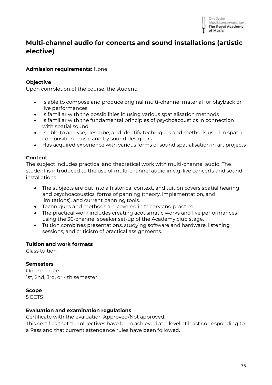

# **Multi-channel audio for concerts and sound installations (artistic elective)**

## **Admission requirements:** None

#### **Objective**

Upon completion of the course, the student:

- Is able to compose and produce original multi-channel material for playback or live performances
- Is familiar with the possibilities in using various spatialisation methods
- Is familiar with the fundamental principles of psychoacoustics in connection with spatial sound
- Is able to analyse, describe, and identify techniques and methods used in spatial composition music and by sound designers
- Has acquired experience with various forms of sound spatialisation in art projects

#### **Content**

The subject includes practical and theoretical work with multi-channel audio. The student is introduced to the use of multi-channel audio in e.g. live concerts and sound installations.

- The subjects are put into a historical context, and tuition covers spatial hearing and psychoacoustics, forms of panning (theory, implementation, and limitations), and current panning tools.
- Techniques and methods are covered in theory and practice.
- The practical work includes creating acousmatic works and live performances using the 36-channel speaker set-up of the Academy club stage.
- Tuition combines presentations, studying software and hardware, listening sessions, and criticism of practical assignments.

#### **Tuition and work formats**

Class tuition

#### **Semesters**

One semester 1st, 2nd, 3rd, or 4th semester

#### **Scope**

5 ECTS

#### **Evaluation and examination regulations**

Certificate with the evaluation Approved/Not approved.

This certifies that the objectives have been achieved at a level at least corresponding to a Pass and that current attendance rules have been followed.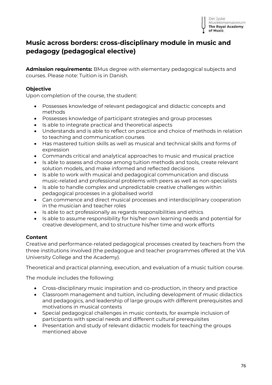## **Music across borders: cross-disciplinary module in music and pedagogy (pedagogical elective)**

**Admission requirements:** BMus degree with elementary pedagogical subjects and courses. Please note: Tuition is in Danish.

## **Objective**

Upon completion of the course, the student:

- Possesses knowledge of relevant pedagogical and didactic concepts and methods
- Possesses knowledge of participant strategies and group processes
- Is able to integrate practical and theoretical aspects
- Understands and is able to reflect on practice and choice of methods in relation to teaching and communication courses
- Has mastered tuition skills as well as musical and technical skills and forms of expression
- Commands critical and analytical approaches to music and musical practice
- Is able to assess and choose among tuition methods and tools, create relevant solution models, and make informed and reflected decisions
- Is able to work with musical and pedagogical communication and discuss music-related and professional problems with peers as well as non-specialists
- Is able to handle complex and unpredictable creative challenges within pedagogical processes in a globalised world
- Can commence and direct musical processes and interdisciplinary cooperation in the musician and teacher roles
- Is able to act professionally as regards responsibilities and ethics
- Is able to assume responsibility for his/her own learning needs and potential for creative development, and to structure his/her time and work efforts

## **Content**

Creative and performance-related pedagogical processes created by teachers from the three institutions involved (the pedagogue and teacher programmes offered at the VIA University College and the Academy).

Theoretical and practical planning, execution, and evaluation of a music tuition course.

The module includes the following:

- Cross-disciplinary music inspiration and co-production, in theory and practice
- Classroom management and tuition, including development of music didactics and pedagogics, and leadership of large groups with different prerequisites and motivations in musical contexts
- Special pedagogical challenges in music contexts, for example inclusion of participants with special needs and different cultural prerequisites
- Presentation and study of relevant didactic models for teaching the groups mentioned above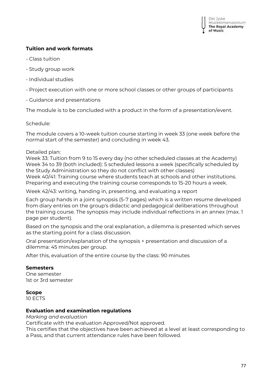## **Tuition and work formats**

- Class tuition
- Study group work
- Individual studies
- Project execution with one or more school classes or other groups of participants
- Guidance and presentations

The module is to be concluded with a product in the form of a presentation/event.

Schedule:

The module covers a 10-week tuition course starting in week 33 (one week before the normal start of the semester) and concluding in week 43.

## Detailed plan:

Week 33: Tuition from 9 to 15 every day (no other scheduled classes at the Academy) Week 34 to 39 (both included): 5 scheduled lessons a week (specifically scheduled by the Study Administration so they do not conflict with other classes) Week 40/41: Training course where students teach at schools and other institutions. Preparing and executing the training course corresponds to 15-20 hours a week.

Week 42/43: writing, handing in, presenting, and evaluating a report

Each group hands in a joint synopsis (5-7 pages) which is a written resume developed from diary entries on the group's didactic and pedagogical deliberations throughout the training course. The synopsis may include individual reflections in an annex (max. 1 page per student).

Based on the synopsis and the oral explanation, a dilemma is presented which serves as the starting point for a class discussion.

Oral presentation/explanation of the synopsis + presentation and discussion of a dilemma: 45 minutes per group.

After this, evaluation of the entire course by the class: 90 minutes

#### **Semesters**

One semester 1st or 3rd semester

#### **Scope**

10 ECTS

#### **Evaluation and examination regulations**

*Marking and evaluation* 

Certificate with the evaluation Approved/Not approved.

This certifies that the objectives have been achieved at a level at least corresponding to a Pass, and that current attendance rules have been followed.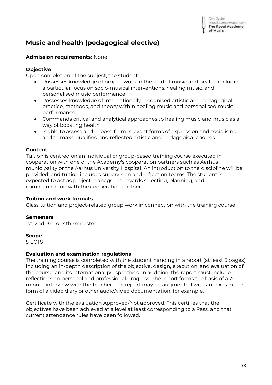# **Music and health (pedagogical elective)**

## **Admission requirements:** None

## **Objective**

Upon completion of the subject, the student:

- Possesses knowledge of project work in the field of music and health, including a particular focus on socio-musical interventions, healing music, and personalised music performance
- Possesses knowledge of internationally recognised artistic and pedagogical practice, methods, and theory within healing music and personalised music performance
- Commands critical and analytical approaches to healing music and music as a way of boosting health
- Is able to assess and choose from relevant forms of expression and socialising, and to make qualified and reflected artistic and pedagogical choices

## **Content**

Tuition is centred on an individual or group-based training course executed in cooperation with one of the Academy's cooperation partners such as Aarhus municipality or the Aarhus University Hospital. An introduction to the discipline will be provided, and tuition includes supervision and reflection teams. The student is expected to act as project manager as regards selecting, planning, and communicating with the cooperation partner.

## **Tuition and work formats**

Class tuition and project-related group work in connection with the training course

#### **Semesters**

1st, 2nd, 3rd or 4th semester

#### **Scope**

5 ECTS

#### **Evaluation and examination regulations**

The training course is completed with the student handing in a report (at least 5 pages) including an in-depth description of the objective, design, execution, and evaluation of the course, and its international perspectives. In addition, the report must include reflections on personal and professional progress. The report forms the basis of a 20 minute interview with the teacher. The report may be augmented with annexes in the form of a video diary or other audio/video documentation, for example.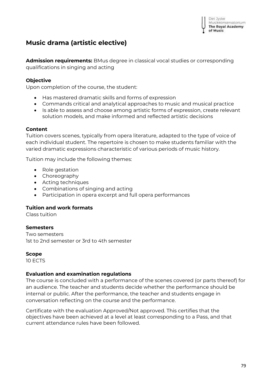

# **Music drama (artistic elective)**

**Admission requirements:** BMus degree in classical vocal studies or corresponding qualifications in singing and acting

## **Objective**

Upon completion of the course, the student:

- Has mastered dramatic skills and forms of expression
- Commands critical and analytical approaches to music and musical practice
- Is able to assess and choose among artistic forms of expression, create relevant solution models, and make informed and reflected artistic decisions

#### **Content**

Tuition covers scenes, typically from opera literature, adapted to the type of voice of each individual student. The repertoire is chosen to make students familiar with the varied dramatic expressions characteristic of various periods of music history.

Tuition may include the following themes:

- Role gestation
- Choreography
- Acting techniques
- Combinations of singing and acting
- Participation in opera excerpt and full opera performances

## **Tuition and work formats**

Class tuition

## **Semesters**

Two semesters 1st to 2nd semester or 3rd to 4th semester

#### **Scope**

10 ECTS

#### **Evaluation and examination regulations**

The course is concluded with a performance of the scenes covered (or parts thereof) for an audience. The teacher and students decide whether the performance should be internal or public. After the performance, the teacher and students engage in conversation reflecting on the course and the performance.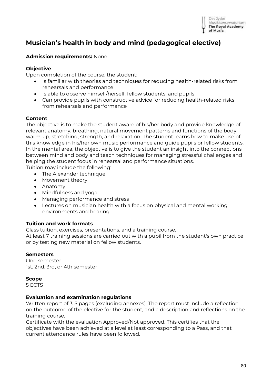

# **Musician's health in body and mind (pedagogical elective)**

### **Admission requirements:** None

## **Objective**

Upon completion of the course, the student:

- Is familiar with theories and techniques for reducing health-related risks from rehearsals and performance
- Is able to observe himself/herself, fellow students, and pupils
- Can provide pupils with constructive advice for reducing health-related risks from rehearsals and performance

#### **Content**

The objective is to make the student aware of his/her body and provide knowledge of relevant anatomy, breathing, natural movement patterns and functions of the body, warm-up, stretching, strength, and relaxation. The student learns how to make use of this knowledge in his/her own music performance and guide pupils or fellow students. In the mental area, the objective is to give the student an insight into the connections between mind and body and teach techniques for managing stressful challenges and helping the student focus in rehearsal and performance situations.

- Tuition may include the following:
	- The Alexander technique
	- Movement theory
	- Anatomy
	- Mindfulness and yoga
	- Managing performance and stress
	- Lectures on musician health with a focus on physical and mental working environments and hearing

#### **Tuition and work formats**

Class tuition, exercises, presentations, and a training course.

At least 7 training sessions are carried out with a pupil from the student's own practice or by testing new material on fellow students.

#### **Semesters**

One semester 1st, 2nd, 3rd, or 4th semester

#### **Scope**

5 ECTS

#### **Evaluation and examination regulations**

Written report of 3-5 pages (excluding annexes). The report must include a reflection on the outcome of the elective for the student, and a description and reflections on the training course.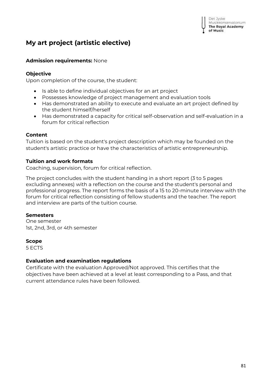# **My art project (artistic elective)**

## **Admission requirements:** None

## **Objective**

Upon completion of the course, the student:

- Is able to define individual objectives for an art project
- Possesses knowledge of project management and evaluation tools
- Has demonstrated an ability to execute and evaluate an art project defined by the student himself/herself
- Has demonstrated a capacity for critical self-observation and self-evaluation in a forum for critical reflection

## **Content**

Tuition is based on the student's project description which may be founded on the student's artistic practice or have the characteristics of artistic entrepreneurship.

## **Tuition and work formats**

Coaching, supervision, forum for critical reflection.

The project concludes with the student handing in a short report (3 to 5 pages excluding annexes) with a reflection on the course and the student's personal and professional progress. The report forms the basis of a 15 to 20-minute interview with the forum for critical reflection consisting of fellow students and the teacher. The report and interview are parts of the tuition course.

## **Semesters**

One semester 1st, 2nd, 3rd, or 4th semester

## **Scope**

5 ECTS

## **Evaluation and examination regulations**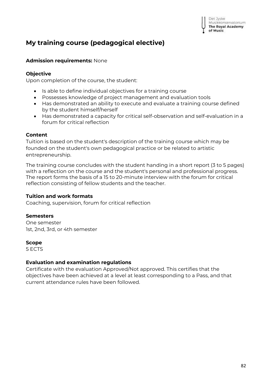## **My training course (pedagogical elective)**

## **Admission requirements:** None

## **Objective**

Upon completion of the course, the student:

- Is able to define individual objectives for a training course
- Possesses knowledge of project management and evaluation tools
- Has demonstrated an ability to execute and evaluate a training course defined by the student himself/herself
- Has demonstrated a capacity for critical self-observation and self-evaluation in a forum for critical reflection

## **Content**

Tuition is based on the student's description of the training course which may be founded on the student's own pedagogical practice or be related to artistic entrepreneurship.

The training course concludes with the student handing in a short report (3 to 5 pages) with a reflection on the course and the student's personal and professional progress. The report forms the basis of a 15 to 20-minute interview with the forum for critical reflection consisting of fellow students and the teacher.

## **Tuition and work formats**

Coaching, supervision, forum for critical reflection

#### **Semesters**

One semester 1st, 2nd, 3rd, or 4th semester

#### **Scope**

5 ECTS

#### **Evaluation and examination regulations**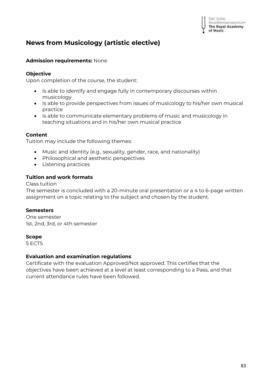# **News from Musicology (artistic elective)**

## **Admission requirements:** None

### **Objective**

Upon completion of the course, the student:

- Is able to identify and engage fully in contemporary discourses within musicology
- Is able to provide perspectives from issues of musicology to his/her own musical practice
- Is able to communicate elementary problems of music and musicology in teaching situations and in his/her own musical practice

## **Content**

Tuition may include the following themes:

- Music and identity (e.g., sexuality, gender, race, and nationality)
- Philosophical and aesthetic perspectives
- Listening practices

## **Tuition and work formats**

Class tuition

The semester is concluded with a 20-minute oral presentation *or* a 4 to 6-page written assignment on a topic relating to the subject and chosen by the student.

#### **Semesters**

One semester 1st, 2nd, 3rd, or 4th semester

#### **Scope**

5 ECTS

#### **Evaluation and examination regulations**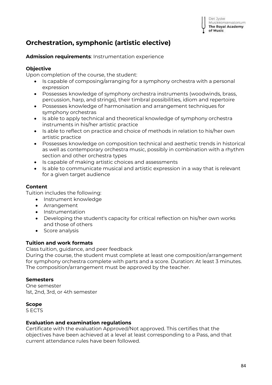# **Orchestration, symphonic (artistic elective)**

**Admission requirements**: Instrumentation experience

## **Objective**

Upon completion of the course, the student:

- Is capable of composing/arranging for a symphony orchestra with a personal expression
- Possesses knowledge of symphony orchestra instruments (woodwinds, brass, percussion, harp, and strings), their timbral possibilities, idiom and repertoire
- Possesses knowledge of harmonisation and arrangement techniques for symphony orchestras
- Is able to apply technical and theoretical knowledge of symphony orchestra instruments in his/her artistic practice
- Is able to reflect on practice and choice of methods in relation to his/her own artistic practice
- Possesses knowledge on composition technical and aesthetic trends in historical as well as contemporary orchestra music, possibly in combination with a rhythm section and other orchestra types
- Is capable of making artistic choices and assessments
- Is able to communicate musical and artistic expression in a way that is relevant for a given target audience

## **Content**

Tuition includes the following:

- Instrument knowledge
- Arrangement
- Instrumentation
- Developing the student's capacity for critical reflection on his/her own works and those of others
- Score analysis

## **Tuition and work formats**

Class tuition, guidance, and peer feedback

During the course, the student must complete at least one composition/arrangement for symphony orchestra complete with parts and a score. Duration: At least 3 minutes. The composition/arrangement must be approved by the teacher.

## **Semesters**

One semester 1st, 2nd, 3rd, or 4th semester

## **Scope**

5 ECTS

#### **Evaluation and examination regulations**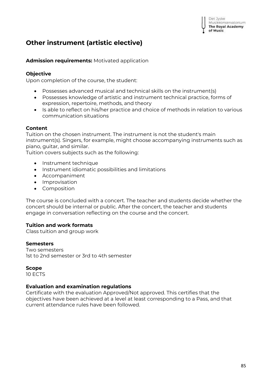# **Other instrument (artistic elective)**

**Admission requirements:** Motivated application

## **Objective**

Upon completion of the course, the student:

- Possesses advanced musical and technical skills on the instrument(s)
- Possesses knowledge of artistic and instrument technical practice, forms of expression, repertoire, methods, and theory
- Is able to reflect on his/her practice and choice of methods in relation to various communication situations

## **Content**

Tuition on the chosen instrument. The instrument is not the student's main instrument(s). Singers, for example, might choose accompanying instruments such as piano, guitar, and similar.

Tuition covers subjects such as the following:

- Instrument technique
- Instrument idiomatic possibilities and limitations
- Accompaniment
- Improvisation
- Composition

The course is concluded with a concert. The teacher and students decide whether the concert should be internal or public. After the concert, the teacher and students engage in conversation reflecting on the course and the concert.

## **Tuition and work formats**

Class tuition and group work

#### **Semesters**

Two semesters 1st to 2nd semester or 3rd to 4th semester

**Scope** 

10 ECTS

## **Evaluation and examination regulations**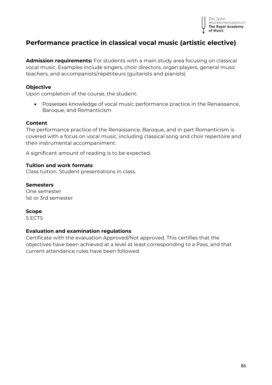

## **Performance practice in classical vocal music (artistic elective)**

**Admission requirements:** For students with a main study area focusing on classical vocal music. Examples include singers, choir directors, organ players, general music teachers, and accompanists/répétiteurs (guitarists and pianists)

## **Objective**

Upon completion of the course, the student:

• Possesses knowledge of vocal music performance practice in the Renaissance, Baroque, and Romanticism

#### **Content**

The performance practice of the Renaissance, Baroque, and in part Romanticism is covered with a focus on vocal music, including classical song and choir repertoire and their instrumental accompaniment.

A significant amount of reading is to be expected.

#### **Tuition and work formats**

Class tuition. Student presentations in class.

#### **Semesters**

One semester 1st or 3rd semester

#### **Scope**

5 ECTS

#### **Evaluation and examination regulations**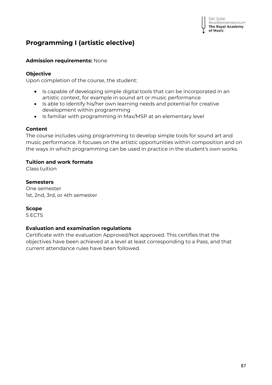# **Programming I (artistic elective)**

## **Admission requirements:** None

## **Objective**

Upon completion of the course, the student:

- Is capable of developing simple digital tools that can be incorporated in an artistic context, for example in sound art or music performance
- Is able to identify his/her own learning needs and potential for creative development within programming
- Is familiar with programming in Max/MSP at an elementary level

## **Content**

The course includes using programming to develop simple tools for sound art and music performance. It focuses on the artistic opportunities within composition and on the ways in which programming can be used in practice in the student's own works.

## **Tuition and work formats**

Class tuition

## **Semesters**

One semester 1st, 2nd, 3rd, or 4th semester

## **Scope**

5 ECTS

## **Evaluation and examination regulations**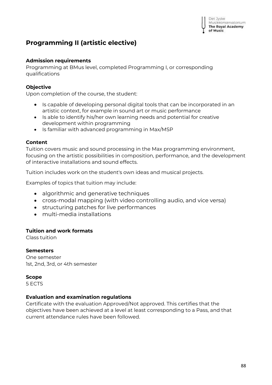Det Jyske Musikkonservatorium **The Royal Academy** of Music

# **Programming II (artistic elective)**

## **Admission requirements**

Programming at BMus level, completed Programming I, or corresponding qualifications

## **Objective**

Upon completion of the course, the student:

- Is capable of developing personal digital tools that can be incorporated in an artistic context, for example in sound art or music performance
- Is able to identify his/her own learning needs and potential for creative development within programming
- Is familiar with advanced programming in Max/MSP

## **Content**

Tuition covers music and sound processing in the Max programming environment, focusing on the artistic possibilities in composition, performance, and the development of interactive installations and sound effects.

Tuition includes work on the student's own ideas and musical projects.

Examples of topics that tuition may include:

- algorithmic and generative techniques
- cross-modal mapping (with video controlling audio, and vice versa)
- structuring patches for live performances
- multi-media installations

## **Tuition and work formats**

Class tuition

#### **Semesters**

One semester 1st, 2nd, 3rd, or 4th semester

#### **Scope**

5 ECTS

#### **Evaluation and examination regulations**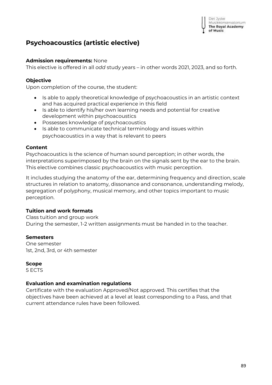Det Jyske Musikkonservatorium **The Royal Academy** of Music

## **Psychoacoustics (artistic elective)**

## **Admission requirements:** None

This elective is offered in all *odd* study years – in other words 2021, 2023, and so forth.

## **Objective**

Upon completion of the course, the student:

- Is able to apply theoretical knowledge of psychoacoustics in an artistic context and has acquired practical experience in this field
- Is able to identify his/her own learning needs and potential for creative development within psychoacoustics
- Possesses knowledge of psychoacoustics
- Is able to communicate technical terminology and issues within psychoacoustics in a way that is relevant to peers

## **Content**

Psychoacoustics is the science of human sound perception; in other words, the interpretations superimposed by the brain on the signals sent by the ear to the brain. This elective combines classic psychoacoustics with music perception.

It includes studying the anatomy of the ear, determining frequency and direction, scale structures in relation to anatomy, dissonance and consonance, understanding melody, segregation of polyphony, musical memory, and other topics important to music perception.

## **Tuition and work formats**

Class tuition and group work During the semester, 1-2 written assignments must be handed in to the teacher.

## **Semesters**

One semester 1st, 2nd, 3rd, or 4th semester

## **Scope**

5 ECTS

## **Evaluation and examination regulations**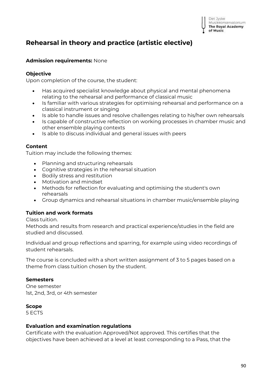

# **Rehearsal in theory and practice (artistic elective)**

## **Admission requirements:** None

## **Objective**

Upon completion of the course, the student:

- Has acquired specialist knowledge about physical and mental phenomena relating to the rehearsal and performance of classical music
- Is familiar with various strategies for optimising rehearsal and performance on a classical instrument or singing
- Is able to handle issues and resolve challenges relating to his/her own rehearsals
- Is capable of constructive reflection on working processes in chamber music and other ensemble playing contexts
- Is able to discuss individual and general issues with peers

## **Content**

Tuition may include the following themes:

- Planning and structuring rehearsals
- Cognitive strategies in the rehearsal situation
- Bodily stress and restitution
- Motivation and mindset
- Methods for reflection for evaluating and optimising the student's own rehearsals
- Group dynamics and rehearsal situations in chamber music/ensemble playing

## **Tuition and work formats**

Class tuition.

Methods and results from research and practical experience/studies in the field are studied and discussed.

Individual and group reflections and sparring, for example using video recordings of student rehearsals.

The course is concluded with a short written assignment of 3 to 5 pages based on a theme from class tuition chosen by the student.

## **Semesters**

One semester 1st, 2nd, 3rd, or 4th semester

## **Scope**

5 ECTS

## **Evaluation and examination regulations**

Certificate with the evaluation Approved/Not approved. This certifies that the objectives have been achieved at a level at least corresponding to a Pass, that the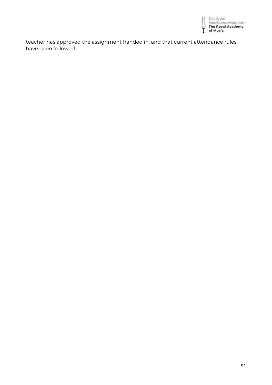

teacher has approved the assignment handed in, and that current attendance rules have been followed.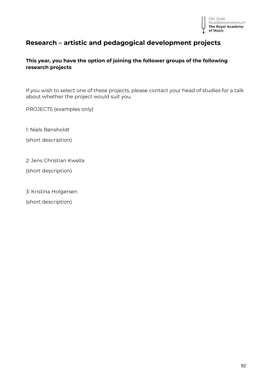

# **Research – artistic and pedagogical development projects**

## **This year, you have the option of joining the follower groups of the following research projects**

If you wish to select one of these projects, please contact your head of studies for a talk about whether the project would suit you.

PROJECTS (examples only)

1: Niels Rønsholdt

(short description)

2: Jens Christian Kwella

(short description)

3: Kristina Holgersen

(short description)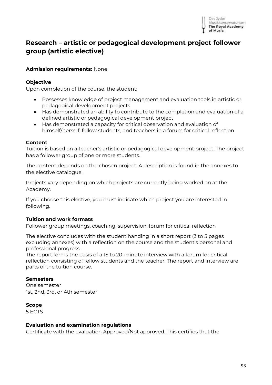

## **Research – artistic or pedagogical development project follower group (artistic elective)**

## **Admission requirements:** None

### **Objective**

Upon completion of the course, the student:

- Possesses knowledge of project management and evaluation tools in artistic or pedagogical development projects
- Has demonstrated an ability to contribute to the completion and evaluation of a defined artistic or pedagogical development project
- Has demonstrated a capacity for critical observation and evaluation of himself/herself, fellow students, and teachers in a forum for critical reflection

#### **Content**

Tuition is based on a teacher's artistic or pedagogical development project. The project has a follower group of one or more students.

The content depends on the chosen project. A description is found in the annexes to the elective catalogue.

Projects vary depending on which projects are currently being worked on at the Academy.

If you choose this elective, you must indicate which project you are interested in following.

#### **Tuition and work formats**

Follower group meetings, coaching, supervision, forum for critical reflection

The elective concludes with the student handing in a short report (3 to 5 pages excluding annexes) with a reflection on the course and the student's personal and professional progress.

The report forms the basis of a 15 to 20-minute interview with a forum for critical reflection consisting of fellow students and the teacher. The report and interview are parts of the tuition course.

#### **Semesters**

One semester 1st, 2nd, 3rd, or 4th semester

#### **Scope**

5 ECTS

#### **Evaluation and examination regulations**

Certificate with the evaluation Approved/Not approved. This certifies that the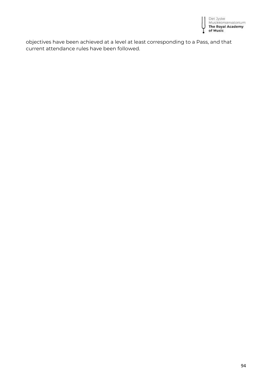

objectives have been achieved at a level at least corresponding to a Pass, and that current attendance rules have been followed.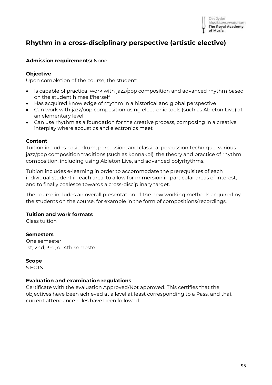

## **Rhythm in a cross-disciplinary perspective (artistic elective)**

#### **Admission requirements:** None

#### **Objective**

Upon completion of the course, the student:

- Is capable of practical work with jazz/pop composition and advanced rhythm based on the student himself/herself
- Has acquired knowledge of rhythm in a historical and global perspective
- Can work with jazz/pop composition using electronic tools (such as Ableton Live) at an elementary level
- Can use rhythm as a foundation for the creative process, composing in a creative interplay where acoustics and electronics meet

#### **Content**

Tuition includes basic drum, percussion, and classical percussion technique, various jazz/pop composition traditions (such as konnakol), the theory and practice of rhythm composition, including using Ableton Live, and advanced polyrhythms.

Tuition includes e-learning in order to accommodate the prerequisites of each individual student in each area, to allow for immersion in particular areas of interest, and to finally coalesce towards a cross-disciplinary target.

The course includes an overall presentation of the new working methods acquired by the students on the course, for example in the form of compositions/recordings.

#### **Tuition and work formats**

Class tuition

#### **Semesters**

One semester 1st, 2nd, 3rd, or 4th semester

#### **Scope**

5 ECTS

#### **Evaluation and examination regulations**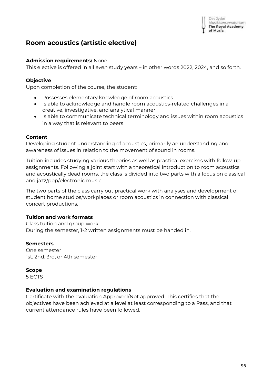Det Jyske Musikkonservatorium **The Royal Academy** of Music

## **Room acoustics (artistic elective)**

## **Admission requirements:** None

This elective is offered in all *even* study years – in other words 2022, 2024, and so forth.

## **Objective**

Upon completion of the course, the student:

- Possesses elementary knowledge of room acoustics
- Is able to acknowledge and handle room acoustics-related challenges in a creative, investigative, and analytical manner
- Is able to communicate technical terminology and issues within room acoustics in a way that is relevant to peers

## **Content**

Developing student understanding of acoustics, primarily an understanding and awareness of issues in relation to the movement of sound in rooms.

Tuition includes studying various theories as well as practical exercises with follow-up assignments. Following a joint start with a theoretical introduction to room acoustics and acoustically dead rooms, the class is divided into two parts with a focus on classical and jazz/pop/electronic music.

The two parts of the class carry out practical work with analyses and development of student home studios/workplaces or room acoustics in connection with classical concert productions.

## **Tuition and work formats**

Class tuition and group work During the semester, 1-2 written assignments must be handed in.

## **Semesters**

One semester 1st, 2nd, 3rd, or 4th semester

## **Scope**

5 ECTS

## **Evaluation and examination regulations**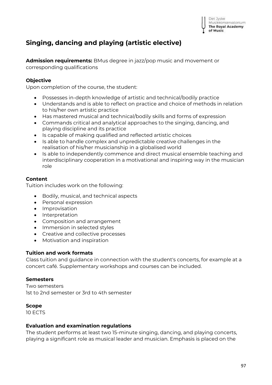

# **Singing, dancing and playing (artistic elective)**

**Admission requirements:** BMus degree in jazz/pop music and movement or corresponding qualifications

## **Objective**

Upon completion of the course, the student:

- Possesses in-depth knowledge of artistic and technical/bodily practice
- Understands and is able to reflect on practice and choice of methods in relation to his/her own artistic practice
- Has mastered musical and technical/bodily skills and forms of expression
- Commands critical and analytical approaches to the singing, dancing, and playing discipline and its practice
- Is capable of making qualified and reflected artistic choices
- Is able to handle complex and unpredictable creative challenges in the realisation of his/her musicianship in a globalised world
- Is able to independently commence and direct musical ensemble teaching and interdisciplinary cooperation in a motivational and inspiring way in the musician role

## **Content**

Tuition includes work on the following:

- Bodily, musical, and technical aspects
- Personal expression
- Improvisation
- Interpretation
- Composition and arrangement
- Immersion in selected styles
- Creative and collective processes
- Motivation and inspiration

## **Tuition and work formats**

Class tuition and guidance in connection with the student's concerts, for example at a concert café. Supplementary workshops and courses can be included.

#### **Semesters**

Two semesters 1st to 2nd semester or 3rd to 4th semester

#### **Scope**

10 ECTS

#### **Evaluation and examination regulations**

The student performs at least two 15-minute singing, dancing, and playing concerts, playing a significant role as musical leader and musician. Emphasis is placed on the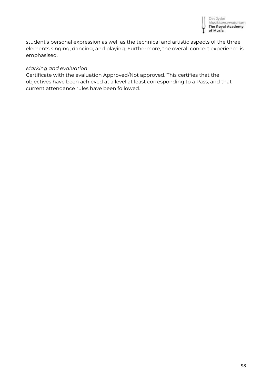

student's personal expression as well as the technical and artistic aspects of the three elements singing, dancing, and playing. Furthermore, the overall concert experience is emphasised.

#### *Marking and evaluation*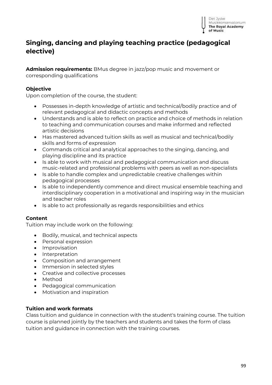

## **Singing, dancing and playing teaching practice (pedagogical elective)**

**Admission requirements:** BMus degree in jazz/pop music and movement or corresponding qualifications

## **Objective**

Upon completion of the course, the student:

- Possesses in-depth knowledge of artistic and technical/bodily practice and of relevant pedagogical and didactic concepts and methods
- Understands and is able to reflect on practice and choice of methods in relation to teaching and communication courses and make informed and reflected artistic decisions
- Has mastered advanced tuition skills as well as musical and technical/bodily skills and forms of expression
- Commands critical and analytical approaches to the singing, dancing, and playing discipline and its practice
- Is able to work with musical and pedagogical communication and discuss music-related and professional problems with peers as well as non-specialists
- Is able to handle complex and unpredictable creative challenges within pedagogical processes
- Is able to independently commence and direct musical ensemble teaching and interdisciplinary cooperation in a motivational and inspiring way in the musician and teacher roles
- Is able to act professionally as regards responsibilities and ethics

## **Content**

Tuition may include work on the following:

- Bodily, musical, and technical aspects
- Personal expression
- Improvisation
- Interpretation
- Composition and arrangement
- Immersion in selected styles
- Creative and collective processes
- Method
- Pedagogical communication
- Motivation and inspiration

## **Tuition and work formats**

Class tuition and guidance in connection with the student's training course. The tuition course is planned jointly by the teachers and students and takes the form of class tuition and guidance in connection with the training courses.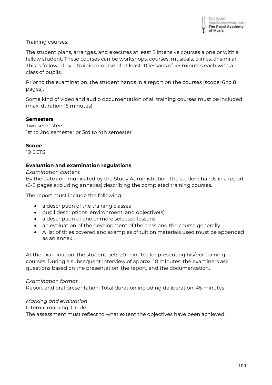## Training courses:

The student plans, arranges, and executes at least 2 intensive courses alone or with a fellow student. These courses can be workshops, courses, musicals, clinics, or similar. This is followed by a training course of at least 10 lessons of 45 minutes each with a class of pupils.

Prior to the examination, the student hands in a report on the courses (scope: 6 to 8 pages).

Some kind of video and audio documentation of all training courses must be included (max. duration 15 minutes).

## **Semesters**

Two semesters 1st to 2nd semester or 3rd to 4th semester

#### **Scope**

10 ECTS

## **Evaluation and examination regulations**

*Examination content*

By the date communicated by the Study Administration, the student hands in a report (6-8 pages excluding annexes) describing the completed training courses.

The report must include the following:

- a description of the training classes
- pupil descriptions, environment, and objective(s)
- a description of one or more selected lessons
- an evaluation of the development of the class and the course generally
- A list of titles covered and examples of tuition materials used must be appended as an annex

At the examination, the student gets 20 minutes for presenting his/her training courses. During a subsequent interview of approx. 10 minutes, the examiners ask questions based on the presentation, the report, and the documentation.

#### *Examination format*

Report and oral presentation. Total duration including deliberation: 45 minutes

*Marking and evaluation* 

Internal marking. Grade.

The assessment must reflect to what extent the objectives have been achieved.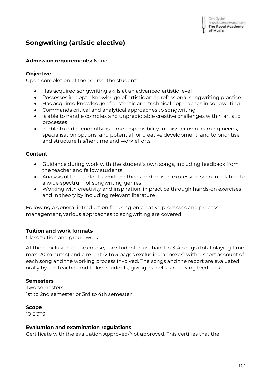# **Songwriting (artistic elective)**

## **Admission requirements:** None

### **Objective**

Upon completion of the course, the student:

- Has acquired songwriting skills at an advanced artistic level
- Possesses in-depth knowledge of artistic and professional songwriting practice
- Has acquired knowledge of aesthetic and technical approaches in songwriting
- Commands critical and analytical approaches to songwriting
- Is able to handle complex and unpredictable creative challenges within artistic processes
- Is able to independently assume responsibility for his/her own learning needs, specialisation options, and potential for creative development, and to prioritise and structure his/her time and work efforts

## **Content**

- Guidance during work with the student's own songs, including feedback from the teacher and fellow students
- Analysis of the student's work methods and artistic expression seen in relation to a wide spectrum of songwriting genres
- Working with creativity and inspiration, in practice through hands-on exercises and in theory by including relevant literature

Following a general introduction focusing on creative processes and process management, various approaches to songwriting are covered.

## **Tuition and work formats**

Class tuition and group work

At the conclusion of the course, the student must hand in 3-4 songs (total playing time: max. 20 minutes) and a report (2 to 3 pages excluding annexes) with a short account of each song and the working process involved. The songs and the report are evaluated orally by the teacher and fellow students, giving as well as receiving feedback.

#### **Semesters**

Two semesters 1st to 2nd semester or 3rd to 4th semester

## **Scope**

10 ECTS

#### **Evaluation and examination regulations**

Certificate with the evaluation Approved/Not approved. This certifies that the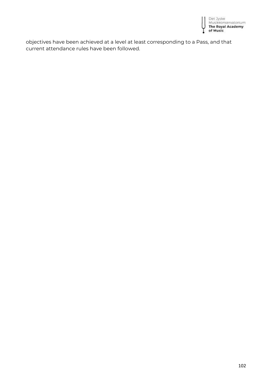

objectives have been achieved at a level at least corresponding to a Pass, and that current attendance rules have been followed.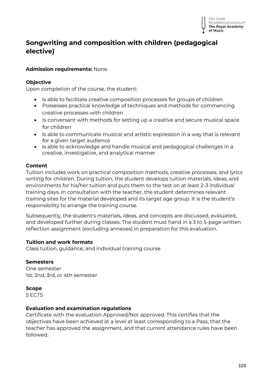# **Songwriting and composition with children (pedagogical elective)**

## **Admission requirements:** None

## **Objective**

Upon completion of the course, the student:

- Is able to facilitate creative composition processes for groups of children
- Possesses practical knowledge of techniques and methods for commencing creative processes with children
- Is conversant with methods for setting up a creative and secure musical space for children
- Is able to communicate musical and artistic expression in a way that is relevant for a given target audience
- Is able to acknowledge and handle musical and pedagogical challenges in a creative, investigative, and analytical manner

## **Content**

Tuition includes work on practical composition methods, creative processes, and lyrics writing for children. During tuition, the student develops tuition materials, ideas, and environments for his/her tuition and puts them to the test on at least 2-3 individual training days. In consultation with the teacher, the student determines relevant training sites for the material developed and its target age group. It is the student's responsibility to arrange the training course.

Subsequently, the student's materials, ideas, and concepts are discussed, evaluated, and developed further during classes. The student must hand in a 3 to 5-page written reflection assignment (excluding annexes) in preparation for this evaluation.

## **Tuition and work formats**

Class tuition, guidance, and individual training course

## **Semesters**

One semester 1st, 2nd, 3rd, or 4th semester

## **Scope**

5 ECTS

## **Evaluation and examination regulations**

Certificate with the evaluation Approved/Not approved. This certifies that the objectives have been achieved at a level at least corresponding to a Pass, that the teacher has approved the assignment, and that current attendance rules have been followed.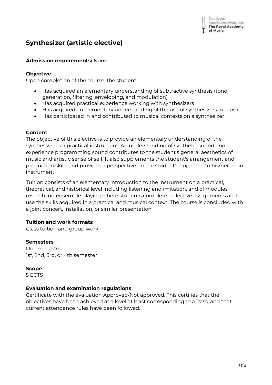# **Synthesizer (artistic elective)**

## **Admission requirements:** None

## **Objective**

Upon completion of the course, the student:

- Has acquired an elementary understanding of subtractive synthesis (tone generation, filtering, enveloping, and modulation)
- Has acquired practical experience working with synthesizers
- Has acquired an elementary understanding of the use of synthesizers in music
- Has participated in and contributed to musical contexts on a synthesizer

## **Content**

The objective of this elective is to provide an elementary understanding of the synthesizer as a practical instrument. An understanding of synthetic sound and experience programming sound contributes to the student's general aesthetics of music and artistic sense of self. It also supplements the student's arrangement and production skills and provides a perspective on the student's approach to his/her main instrument.

Tuition consists of an elementary introduction to the instrument on a practical, theoretical, and historical level including listening and imitation, and of modules resembling ensemble playing where students complete collective assignments and use the skills acquired in a practical and musical context. The course is concluded with a joint concert, installation, or similar presentation.

## **Tuition and work formats**

Class tuition and group work

#### **Semesters**

One semester 1st, 2nd, 3rd, or 4th semester

## **Scope**

5 ECTS

## **Evaluation and examination regulations**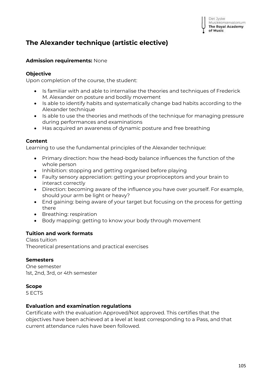# **The Alexander technique (artistic elective)**

## **Admission requirements:** None

## **Objective**

Upon completion of the course, the student:

- Is familiar with and able to internalise the theories and techniques of Frederick M. Alexander on posture and bodily movement
- Is able to identify habits and systematically change bad habits according to the Alexander technique
- Is able to use the theories and methods of the technique for managing pressure during performances and examinations
- Has acquired an awareness of dynamic posture and free breathing

## **Content**

Learning to use the fundamental principles of the Alexander technique:

- Primary direction: how the head-body balance influences the function of the whole person
- Inhibition: stopping and getting organised before playing
- Faulty sensory appreciation: getting your proprioceptors and your brain to interact correctly
- Direction: becoming aware of the influence you have over yourself. For example, should your arm be light or heavy?
- End gaining: being aware of your target but focusing on the process for getting there
- Breathing: respiration
- Body mapping: getting to know your body through movement

## **Tuition and work formats**

Class tuition Theoretical presentations and practical exercises

## **Semesters**

One semester 1st, 2nd, 3rd, or 4th semester

## **Scope**

5 ECTS

## **Evaluation and examination regulations**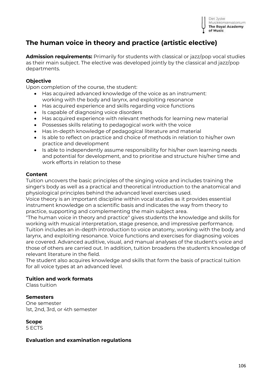

# **The human voice in theory and practice (artistic elective)**

**Admission requirements:** Primarily for students with classical or jazz/pop vocal studies as their main subject. The elective was developed jointly by the classical and jazz/pop departments.

#### **Objective**

Upon completion of the course, the student:

- Has acquired advanced knowledge of the voice as an instrument: working with the body and larynx, and exploiting resonance
- Has acquired experience and skills regarding voice functions
- Is capable of diagnosing voice disorders
- Has acquired experience with relevant methods for learning new material
- Possesses skills relating to pedagogical work with the voice
- Has in-depth knowledge of pedagogical literature and material
- Is able to reflect on practice and choice of methods in relation to his/her own practice and development
- Is able to independently assume responsibility for his/her own learning needs and potential for development, and to prioritise and structure his/her time and work efforts in relation to these

#### **Content**

Tuition uncovers the basic principles of the singing voice and includes training the singer's body as well as a practical and theoretical introduction to the anatomical and physiological principles behind the advanced level exercises used.

Voice theory is an important discipline within vocal studies as it provides essential instrument knowledge on a scientific basis and indicates the way from theory to practice, supporting and complementing the main subject area.

"The human voice in theory and practice" gives students the knowledge and skills for working with musical interpretation, stage presence, and impressive performance. Tuition includes an in-depth introduction to voice anatomy, working with the body and larynx, and exploiting resonance. Voice functions and exercises for diagnosing voices are covered. Advanced auditive, visual, and manual analyses of the student's voice and those of others are carried out. In addition, tuition broadens the student's knowledge of relevant literature in the field.

The student also acquires knowledge and skills that form the basis of practical tuition for all voice types at an advanced level.

#### **Tuition and work formats**

Class tuition

#### **Semesters**

One semester 1st, 2nd, 3rd, or 4th semester

**Scope**

5 ECTS

#### **Evaluation and examination regulations**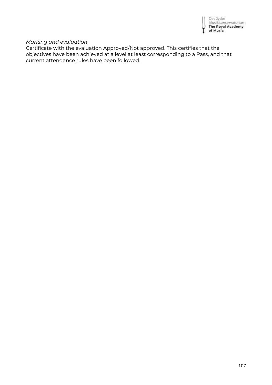

## *Marking and evaluation*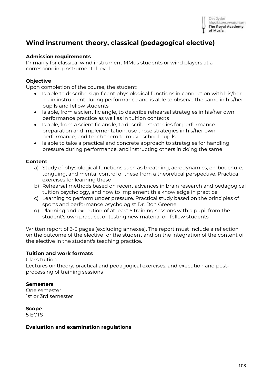

# **Wind instrument theory, classical (pedagogical elective)**

### **Admission requirements**

Primarily for classical wind instrument MMus students or wind players at a corresponding instrumental level

## **Objective**

Upon completion of the course, the student:

- Is able to describe significant physiological functions in connection with his/her main instrument during performance and is able to observe the same in his/her pupils and fellow students
- Is able, from a scientific angle, to describe rehearsal strategies in his/her own performance practice as well as in tuition contexts
- Is able, from a scientific angle, to describe strategies for performance preparation and implementation, use those strategies in his/her own performance, and teach them to music school pupils
- Is able to take a practical and concrete approach to strategies for handling pressure during performance, and instructing others in doing the same

#### **Content**

- a) Study of physiological functions such as breathing, aerodynamics, embouchure, tonguing, and mental control of these from a theoretical perspective. Practical exercises for learning these
- b) Rehearsal methods based on recent advances in brain research and pedagogical tuition psychology, and how to implement this knowledge in practice
- c) Learning to perform under pressure. Practical study based on the principles of sports and performance psychologist Dr. Don Greene
- d) Planning and execution of at least 5 training sessions with a pupil from the student's own practice, or testing new material on fellow students

Written report of 3-5 pages (excluding annexes). The report must include a reflection on the outcome of the elective for the student and on the integration of the content of the elective in the student's teaching practice.

#### **Tuition and work formats**

Class tuition Lectures on theory, practical and pedagogical exercises, and execution and postprocessing of training sessions

#### **Semesters**

One semester 1st or 3rd semester

**Scope**

5 ECTS

#### **Evaluation and examination regulations**